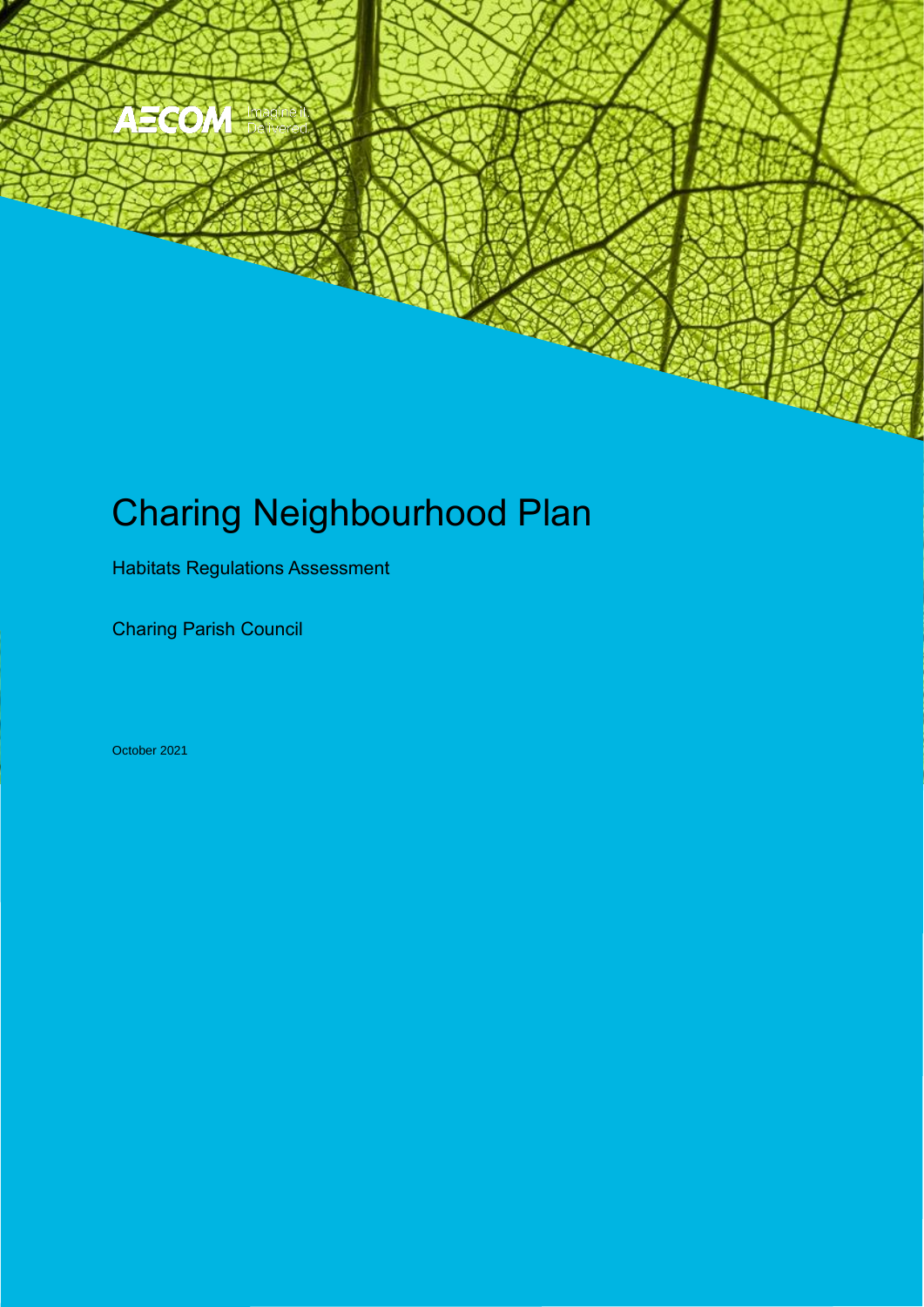# Charing Neighbourhood Plan

Charing Parish Council Charles Parish Council Charles Parish Council Charles Parish Council Charles Parish Council Charles Parish Council Charles Parish Council Charles Parish Council Charles Parish Council Charles Parish

Habitats Regulations Assessment

Charing Parish Council

October 2021

Neighbourhood Plan

360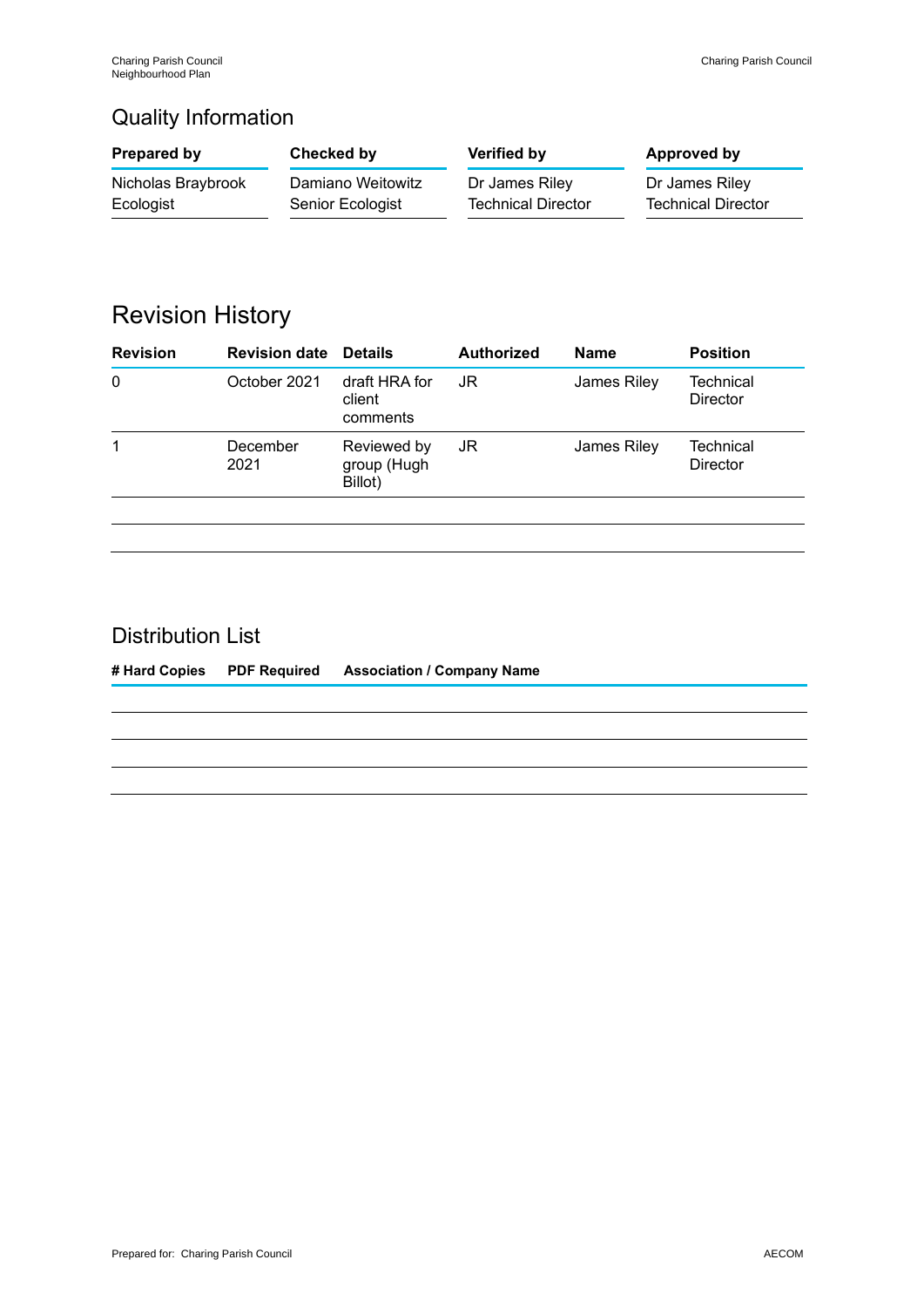### Quality Information

| Prepared by        | Checked by        | Verified by               | Approved by               |
|--------------------|-------------------|---------------------------|---------------------------|
| Nicholas Braybrook | Damiano Weitowitz | Dr James Riley            | Dr James Riley            |
| Ecologist          | Senior Ecologist  | <b>Technical Director</b> | <b>Technical Director</b> |

### Revision History

| <b>Revision</b> | <b>Revision date Details</b> |                                       | <b>Authorized</b> | <b>Name</b> | <b>Position</b>              |
|-----------------|------------------------------|---------------------------------------|-------------------|-------------|------------------------------|
| 0               | October 2021                 | draft HRA for<br>client<br>comments   | JR                | James Riley | <b>Technical</b><br>Director |
| 1               | December<br>2021             | Reviewed by<br>group (Hugh<br>Billot) | JR                | James Riley | Technical<br><b>Director</b> |
|                 |                              |                                       |                   |             |                              |

### Distribution List

**# Hard Copies PDF Required Association / Company Name**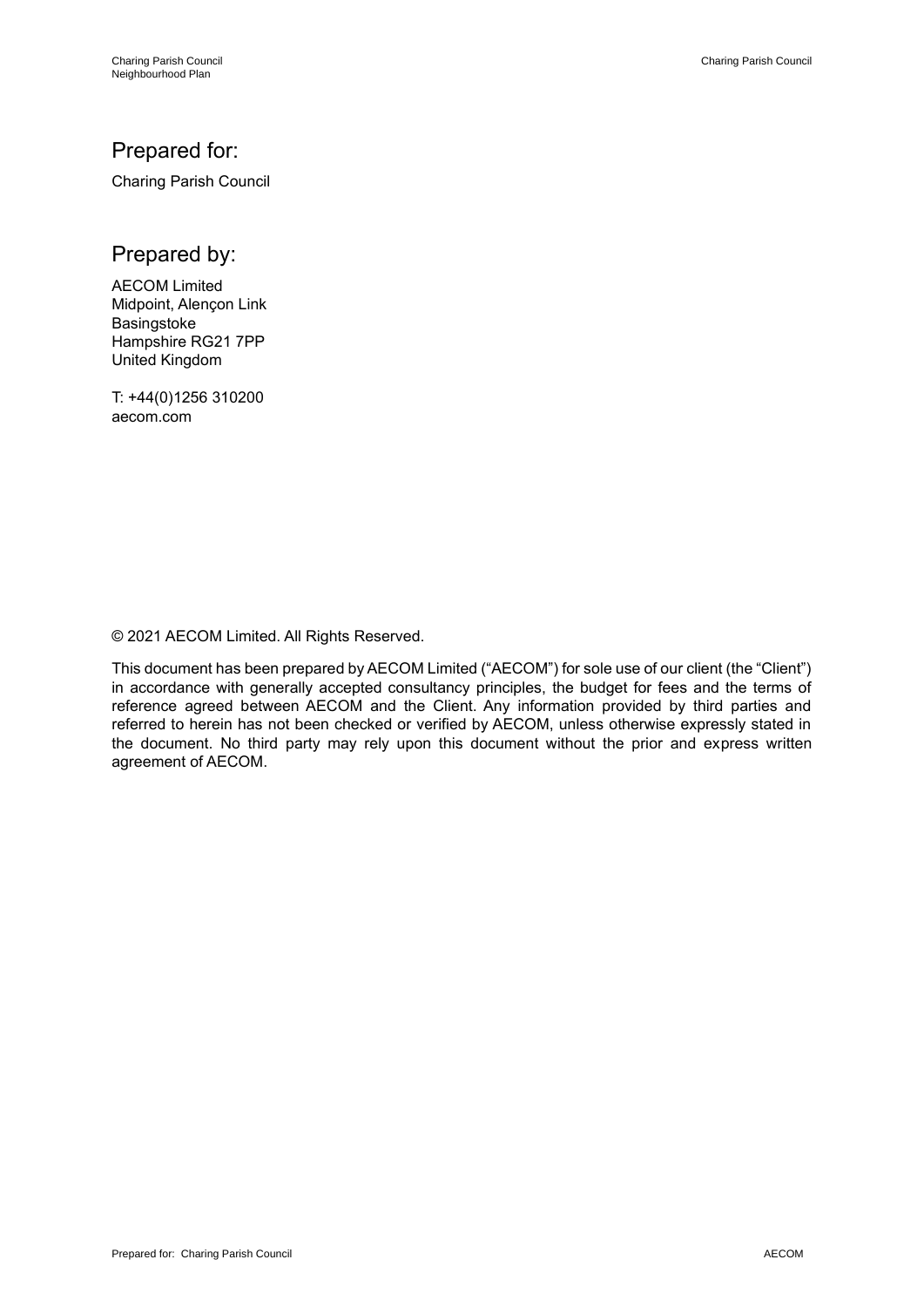### Prepared for:

Charing Parish Council

Prepared by:

AECOM Limited Midpoint, Alençon Link **Basingstoke** Hampshire RG21 7PP United Kingdom

T: +44(0)1256 310200 aecom.com

© 2021 AECOM Limited. All Rights Reserved.

This document has been prepared by AECOM Limited ("AECOM") for sole use of our client (the "Client") in accordance with generally accepted consultancy principles, the budget for fees and the terms of reference agreed between AECOM and the Client. Any information provided by third parties and referred to herein has not been checked or verified by AECOM, unless otherwise expressly stated in the document. No third party may rely upon this document without the prior and express written agreement of AECOM.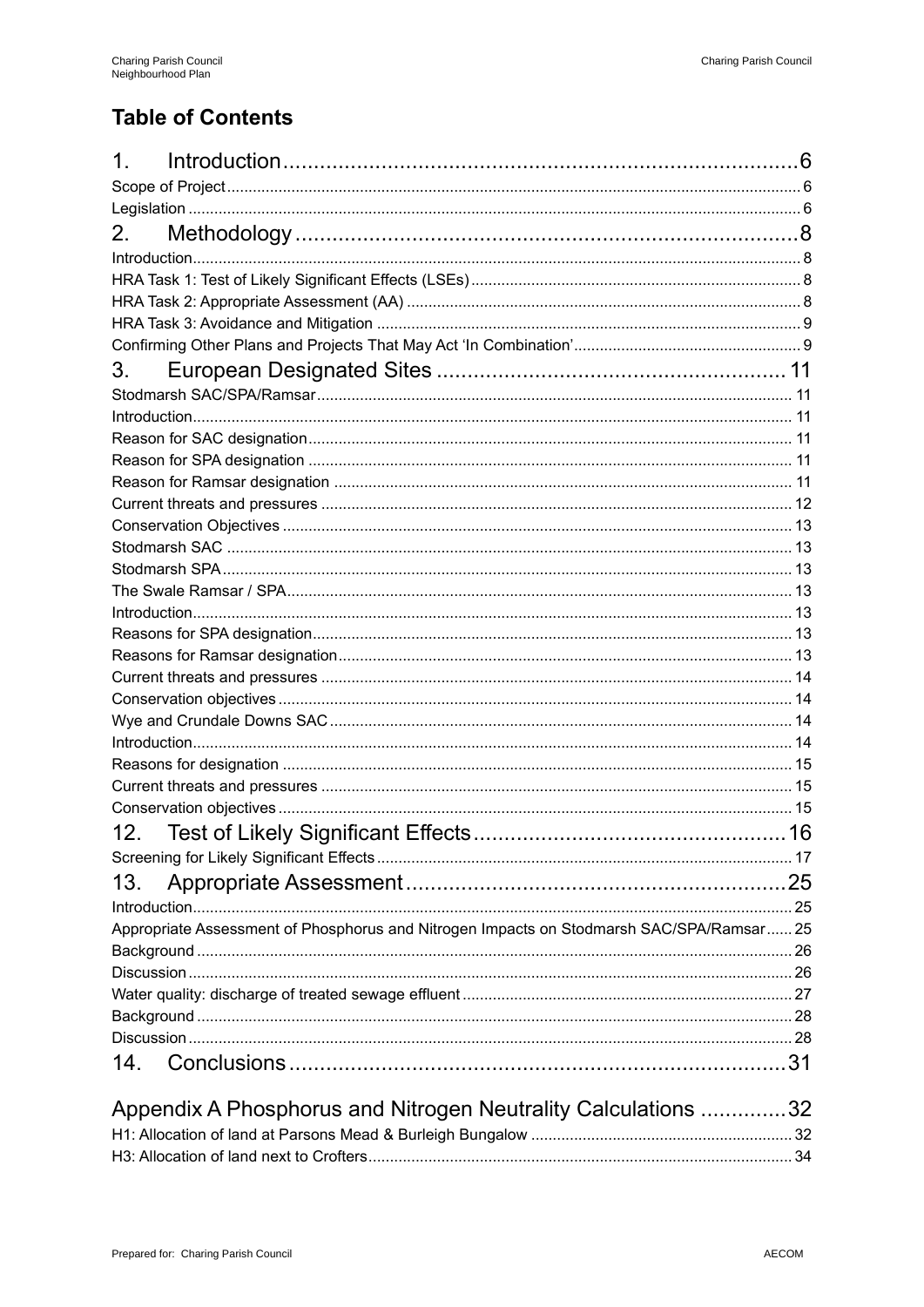### **Table of Contents**

| 1.                                                                                       |  |
|------------------------------------------------------------------------------------------|--|
|                                                                                          |  |
|                                                                                          |  |
| 2.                                                                                       |  |
|                                                                                          |  |
|                                                                                          |  |
|                                                                                          |  |
|                                                                                          |  |
|                                                                                          |  |
| 3.                                                                                       |  |
|                                                                                          |  |
|                                                                                          |  |
|                                                                                          |  |
|                                                                                          |  |
|                                                                                          |  |
|                                                                                          |  |
|                                                                                          |  |
|                                                                                          |  |
|                                                                                          |  |
|                                                                                          |  |
|                                                                                          |  |
|                                                                                          |  |
|                                                                                          |  |
|                                                                                          |  |
|                                                                                          |  |
|                                                                                          |  |
|                                                                                          |  |
|                                                                                          |  |
|                                                                                          |  |
|                                                                                          |  |
|                                                                                          |  |
| 12.                                                                                      |  |
|                                                                                          |  |
| 13.                                                                                      |  |
|                                                                                          |  |
| Appropriate Assessment of Phosphorus and Nitrogen Impacts on Stodmarsh SAC/SPA/Ramsar 25 |  |
|                                                                                          |  |
|                                                                                          |  |
|                                                                                          |  |
|                                                                                          |  |
|                                                                                          |  |
| 14.                                                                                      |  |
|                                                                                          |  |
| Appendix A Phosphorus and Nitrogen Neutrality Calculations 32                            |  |
|                                                                                          |  |
|                                                                                          |  |
|                                                                                          |  |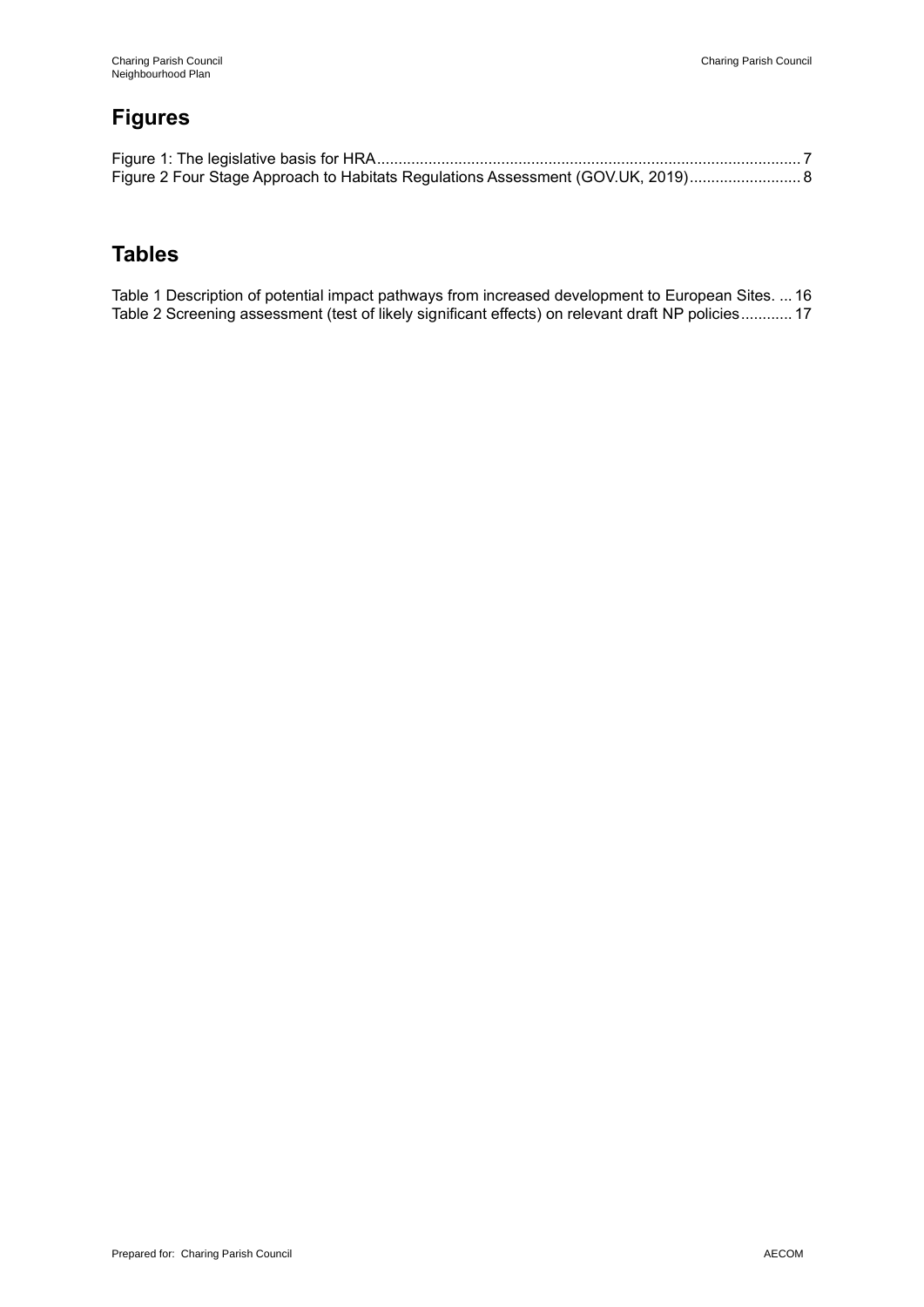### **Figures**

| Figure 2 Four Stage Approach to Habitats Regulations Assessment (GOV.UK, 2019) 8 |  |
|----------------------------------------------------------------------------------|--|

### **Tables**

Table 1 Description of potential impact pathways from increased development to European Sites. ... 16 Table 2 Screening assessment (test of likely significant effects) on relevant draft NP policies............ 17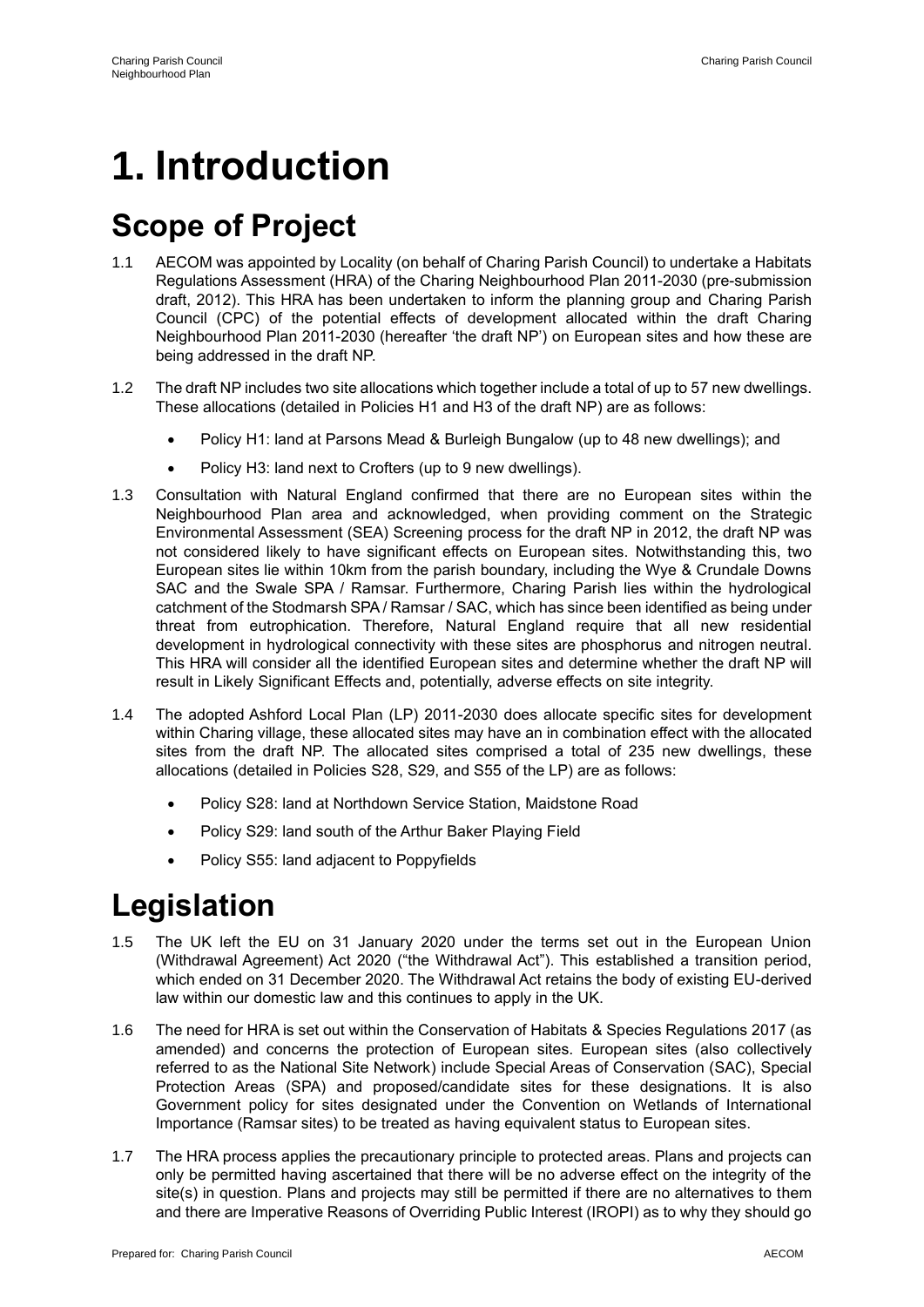# **1. Introduction**

# **Scope of Project**

- 1.1 AECOM was appointed by Locality (on behalf of Charing Parish Council) to undertake a Habitats Regulations Assessment (HRA) of the Charing Neighbourhood Plan 2011-2030 (pre-submission draft, 2012). This HRA has been undertaken to inform the planning group and Charing Parish Council (CPC) of the potential effects of development allocated within the draft Charing Neighbourhood Plan 2011-2030 (hereafter 'the draft NP') on European sites and how these are being addressed in the draft NP.
- 1.2 The draft NP includes two site allocations which together include a total of up to 57 new dwellings. These allocations (detailed in Policies H1 and H3 of the draft NP) are as follows:
	- Policy H1: land at Parsons Mead & Burleigh Bungalow (up to 48 new dwellings); and
	- Policy H3: land next to Crofters (up to 9 new dwellings).
- 1.3 Consultation with Natural England confirmed that there are no European sites within the Neighbourhood Plan area and acknowledged, when providing comment on the Strategic Environmental Assessment (SEA) Screening process for the draft NP in 2012, the draft NP was not considered likely to have significant effects on European sites. Notwithstanding this, two European sites lie within 10km from the parish boundary, including the Wye & Crundale Downs SAC and the Swale SPA / Ramsar. Furthermore, Charing Parish lies within the hydrological catchment of the Stodmarsh SPA / Ramsar / SAC, which has since been identified as being under threat from eutrophication. Therefore, Natural England require that all new residential development in hydrological connectivity with these sites are phosphorus and nitrogen neutral. This HRA will consider all the identified European sites and determine whether the draft NP will result in Likely Significant Effects and, potentially, adverse effects on site integrity.
- 1.4 The adopted Ashford Local Plan (LP) 2011-2030 does allocate specific sites for development within Charing village, these allocated sites may have an in combination effect with the allocated sites from the draft NP. The allocated sites comprised a total of 235 new dwellings, these allocations (detailed in Policies S28, S29, and S55 of the LP) are as follows:
	- Policy S28: land at Northdown Service Station, Maidstone Road
	- Policy S29: land south of the Arthur Baker Playing Field
	- Policy S55: land adjacent to Poppyfields

# **Legislation**

- 1.5 The UK left the EU on 31 January 2020 under the terms set out in the European Union (Withdrawal Agreement) Act 2020 ("the Withdrawal Act"). This established a transition period, which ended on 31 December 2020. The Withdrawal Act retains the body of existing EU-derived law within our domestic law and this continues to apply in the UK.
- 1.6 The need for HRA is set out within the Conservation of Habitats & Species Regulations 2017 (as amended) and concerns the protection of European sites. European sites (also collectively referred to as the National Site Network) include Special Areas of Conservation (SAC), Special Protection Areas (SPA) and proposed/candidate sites for these designations. It is also Government policy for sites designated under the Convention on Wetlands of International Importance (Ramsar sites) to be treated as having equivalent status to European sites.
- 1.7 The HRA process applies the precautionary principle to protected areas. Plans and projects can only be permitted having ascertained that there will be no adverse effect on the integrity of the site(s) in question. Plans and projects may still be permitted if there are no alternatives to them and there are Imperative Reasons of Overriding Public Interest (IROPI) as to why they should go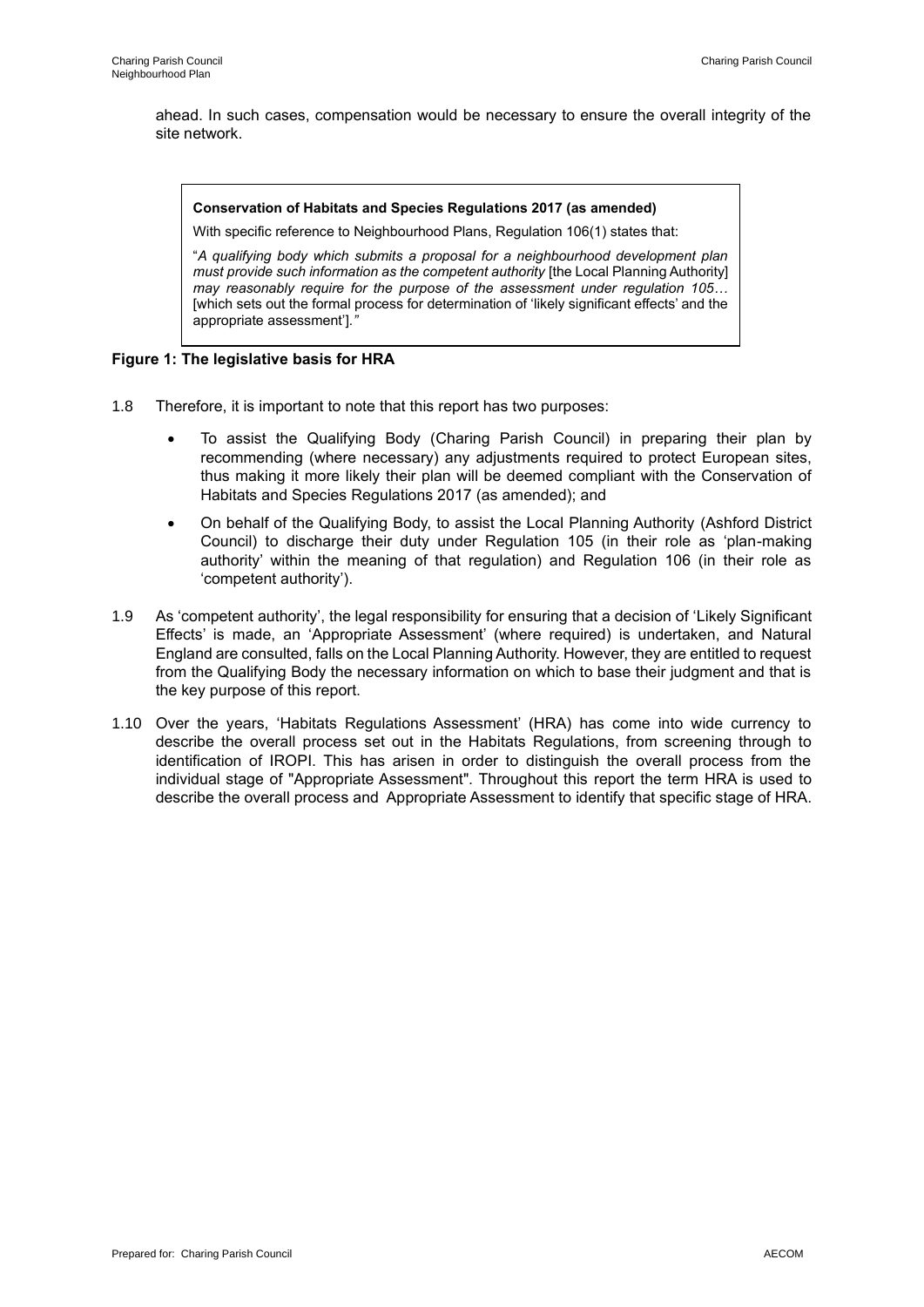ahead. In such cases, compensation would be necessary to ensure the overall integrity of the site network.

#### **Conservation of Habitats and Species Regulations 2017 (as amended)**

With specific reference to Neighbourhood Plans, Regulation 106(1) states that:

"*A qualifying body which submits a proposal for a neighbourhood development plan must provide such information as the competent authority* [the Local Planning Authority] *may reasonably require for the purpose of the assessment under regulation 105…* [which sets out the formal process for determination of 'likely significant effects' and the appropriate assessment']*."*

#### **Figure 1: The legislative basis for HRA**

- 1.8 Therefore, it is important to note that this report has two purposes:
	- To assist the Qualifying Body (Charing Parish Council) in preparing their plan by recommending (where necessary) any adjustments required to protect European sites, thus making it more likely their plan will be deemed compliant with the Conservation of Habitats and Species Regulations 2017 (as amended); and
	- On behalf of the Qualifying Body, to assist the Local Planning Authority (Ashford District Council) to discharge their duty under Regulation 105 (in their role as 'plan-making authority' within the meaning of that regulation) and Regulation 106 (in their role as 'competent authority').
- 1.9 As 'competent authority', the legal responsibility for ensuring that a decision of 'Likely Significant Effects' is made, an 'Appropriate Assessment' (where required) is undertaken, and Natural England are consulted, falls on the Local Planning Authority. However, they are entitled to request from the Qualifying Body the necessary information on which to base their judgment and that is the key purpose of this report.
- 1.10 Over the years, 'Habitats Regulations Assessment' (HRA) has come into wide currency to describe the overall process set out in the Habitats Regulations, from screening through to identification of IROPI. This has arisen in order to distinguish the overall process from the individual stage of "Appropriate Assessment". Throughout this report the term HRA is used to describe the overall process and Appropriate Assessment to identify that specific stage of HRA.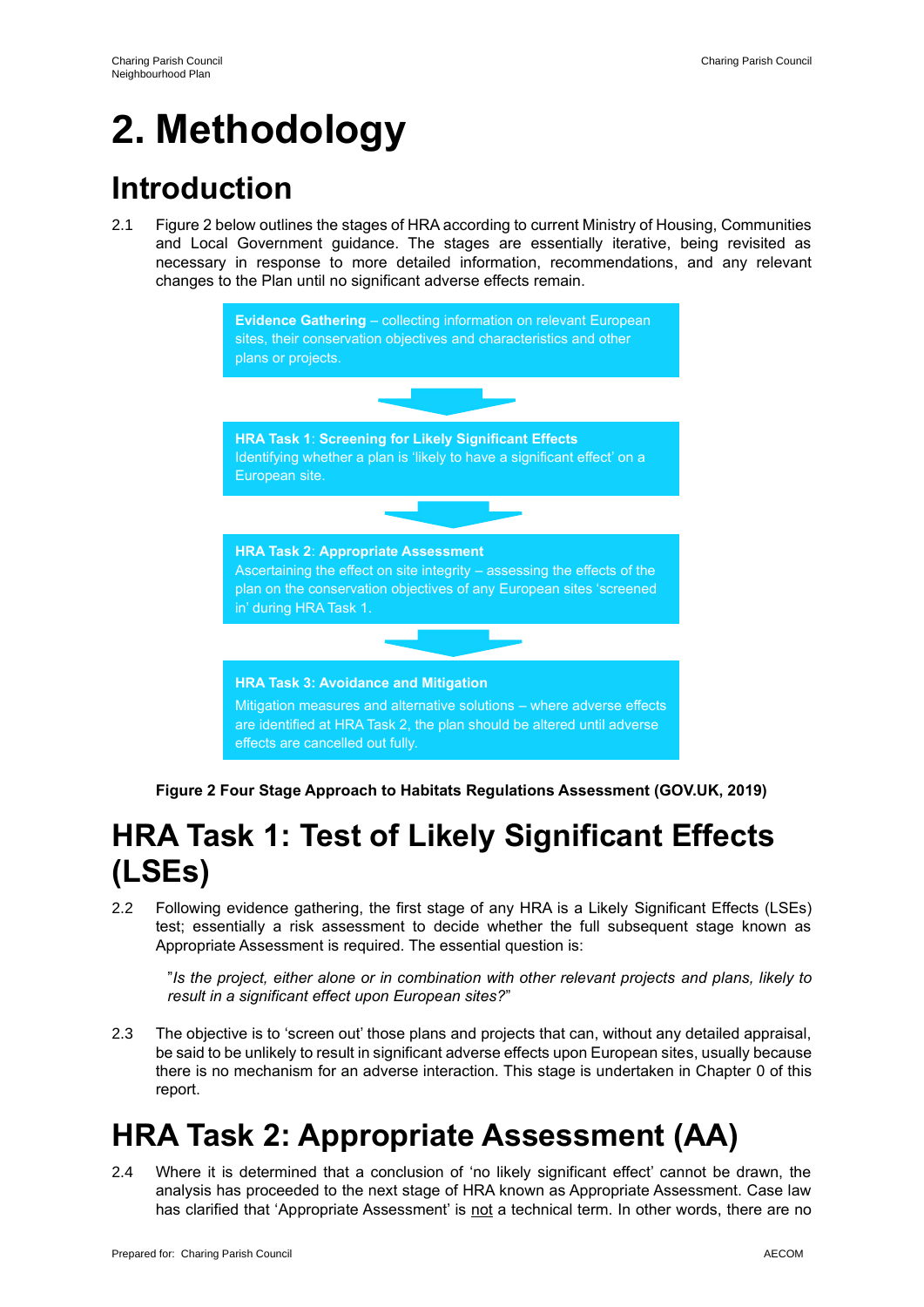# **2. Methodology**

# **Introduction**

2.1 Figure 2 below outlines the stages of HRA according to current Ministry of Housing, Communities and Local Government guidance. The stages are essentially iterative, being revisited as necessary in response to more detailed information, recommendations, and any relevant changes to the Plan until no significant adverse effects remain.



**Figure 2 Four Stage Approach to Habitats Regulations Assessment (GOV.UK, 2019)**

# **HRA Task 1: Test of Likely Significant Effects (LSEs)**

2.2 Following evidence gathering, the first stage of any HRA is a Likely Significant Effects (LSEs) test; essentially a risk assessment to decide whether the full subsequent stage known as Appropriate Assessment is required. The essential question is:

"*Is the project, either alone or in combination with other relevant projects and plans, likely to result in a significant effect upon European sites?*"

2.3 The objective is to 'screen out' those plans and projects that can, without any detailed appraisal, be said to be unlikely to result in significant adverse effects upon European sites, usually because there is no mechanism for an adverse interaction. This stage is undertaken in Chapter 0 of this report.

# **HRA Task 2: Appropriate Assessment (AA)**

2.4 Where it is determined that a conclusion of 'no likely significant effect' cannot be drawn, the analysis has proceeded to the next stage of HRA known as Appropriate Assessment. Case law has clarified that 'Appropriate Assessment' is not a technical term. In other words, there are no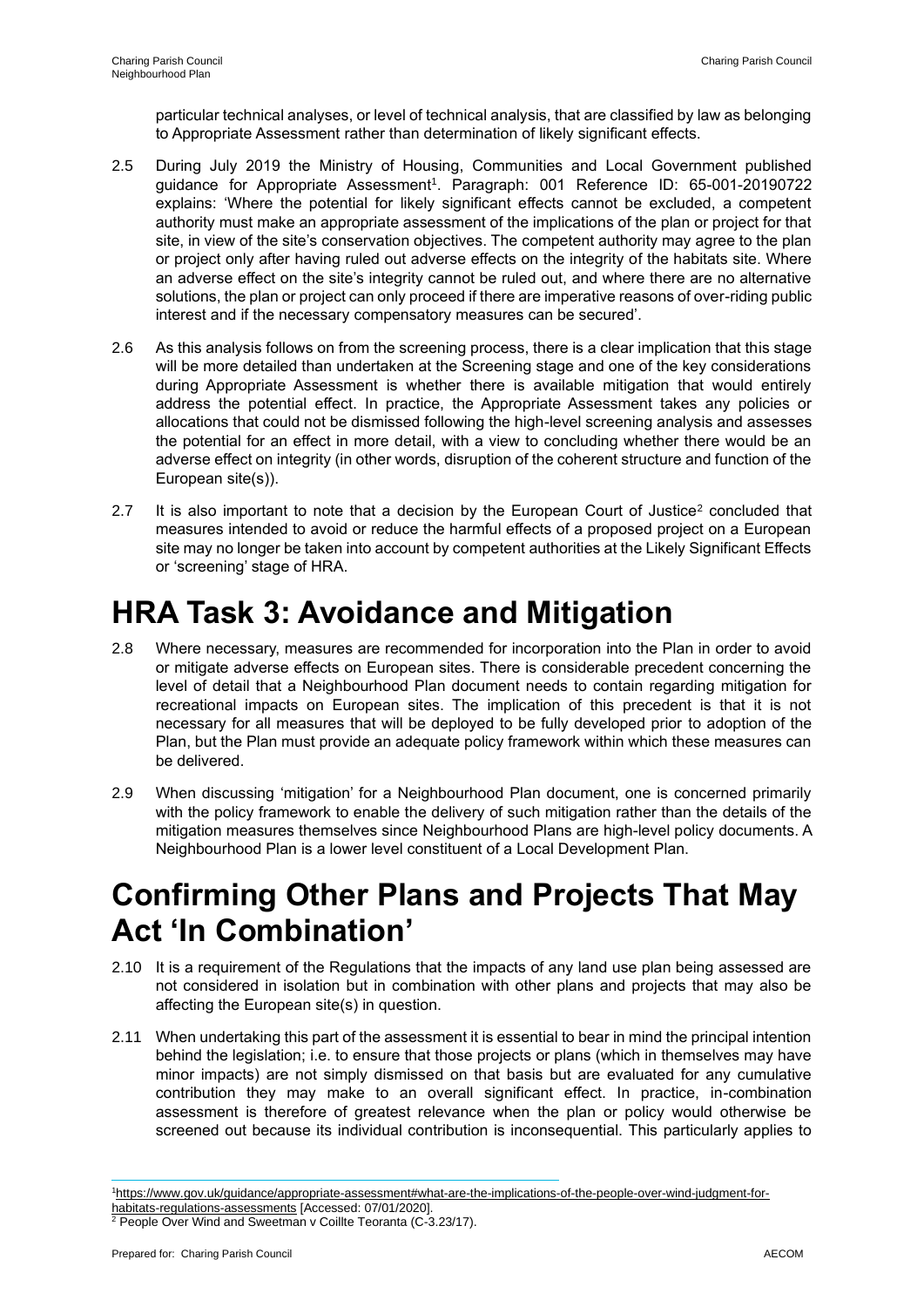particular technical analyses, or level of technical analysis, that are classified by law as belonging to Appropriate Assessment rather than determination of likely significant effects.

- 2.5 During July 2019 the Ministry of Housing, Communities and Local Government published guidance for Appropriate Assessment<sup>1</sup>. Paragraph: 001 Reference ID: 65-001-20190722 explains: 'Where the potential for likely significant effects cannot be excluded, a competent authority must make an appropriate assessment of the implications of the plan or project for that site, in view of the site's conservation objectives. The competent authority may agree to the plan or project only after having ruled out adverse effects on the integrity of the habitats site. Where an adverse effect on the site's integrity cannot be ruled out, and where there are no alternative solutions, the plan or project can only proceed if there are imperative reasons of over-riding public interest and if the necessary compensatory measures can be secured'.
- 2.6 As this analysis follows on from the screening process, there is a clear implication that this stage will be more detailed than undertaken at the Screening stage and one of the key considerations during Appropriate Assessment is whether there is available mitigation that would entirely address the potential effect. In practice, the Appropriate Assessment takes any policies or allocations that could not be dismissed following the high-level screening analysis and assesses the potential for an effect in more detail, with a view to concluding whether there would be an adverse effect on integrity (in other words, disruption of the coherent structure and function of the European site(s)).
- 2.7 It is also important to note that a decision by the European Court of Justice<sup>2</sup> concluded that measures intended to avoid or reduce the harmful effects of a proposed project on a European site may no longer be taken into account by competent authorities at the Likely Significant Effects or 'screening' stage of HRA.

# **HRA Task 3: Avoidance and Mitigation**

- 2.8 Where necessary, measures are recommended for incorporation into the Plan in order to avoid or mitigate adverse effects on European sites. There is considerable precedent concerning the level of detail that a Neighbourhood Plan document needs to contain regarding mitigation for recreational impacts on European sites. The implication of this precedent is that it is not necessary for all measures that will be deployed to be fully developed prior to adoption of the Plan, but the Plan must provide an adequate policy framework within which these measures can be delivered.
- 2.9 When discussing 'mitigation' for a Neighbourhood Plan document, one is concerned primarily with the policy framework to enable the delivery of such mitigation rather than the details of the mitigation measures themselves since Neighbourhood Plans are high-level policy documents. A Neighbourhood Plan is a lower level constituent of a Local Development Plan.

## **Confirming Other Plans and Projects That May Act 'In Combination'**

- 2.10 It is a requirement of the Regulations that the impacts of any land use plan being assessed are not considered in isolation but in combination with other plans and projects that may also be affecting the European site(s) in question.
- 2.11 When undertaking this part of the assessment it is essential to bear in mind the principal intention behind the legislation; i.e. to ensure that those projects or plans (which in themselves may have minor impacts) are not simply dismissed on that basis but are evaluated for any cumulative contribution they may make to an overall significant effect. In practice, in-combination assessment is therefore of greatest relevance when the plan or policy would otherwise be screened out because its individual contribution is inconsequential. This particularly applies to

<sup>1</sup>https://www.gov.uk/guidance/appropriate-assessment#what-are-the-implications-of-the-people-over-wind-judgment-forhabitats-regulations-assessments [Accessed: 07/01/2020].

<sup>&</sup>lt;sup>2</sup> People Over Wind and Sweetman v Coillte Teoranta (C-3.23/17).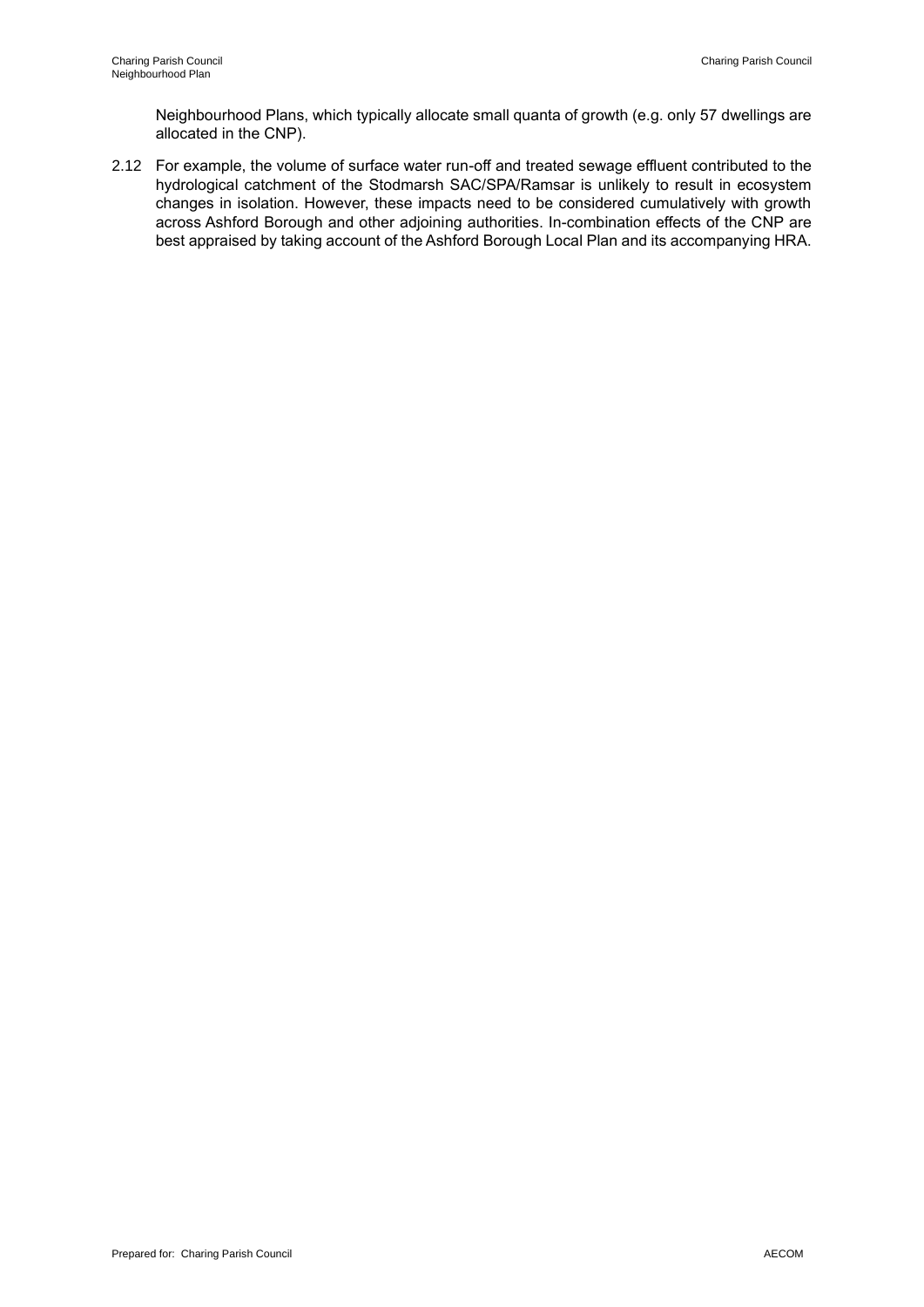Neighbourhood Plans, which typically allocate small quanta of growth (e.g. only 57 dwellings are allocated in the CNP).

2.12 For example, the volume of surface water run-off and treated sewage effluent contributed to the hydrological catchment of the Stodmarsh SAC/SPA/Ramsar is unlikely to result in ecosystem changes in isolation. However, these impacts need to be considered cumulatively with growth across Ashford Borough and other adjoining authorities. In-combination effects of the CNP are best appraised by taking account of the Ashford Borough Local Plan and its accompanying HRA.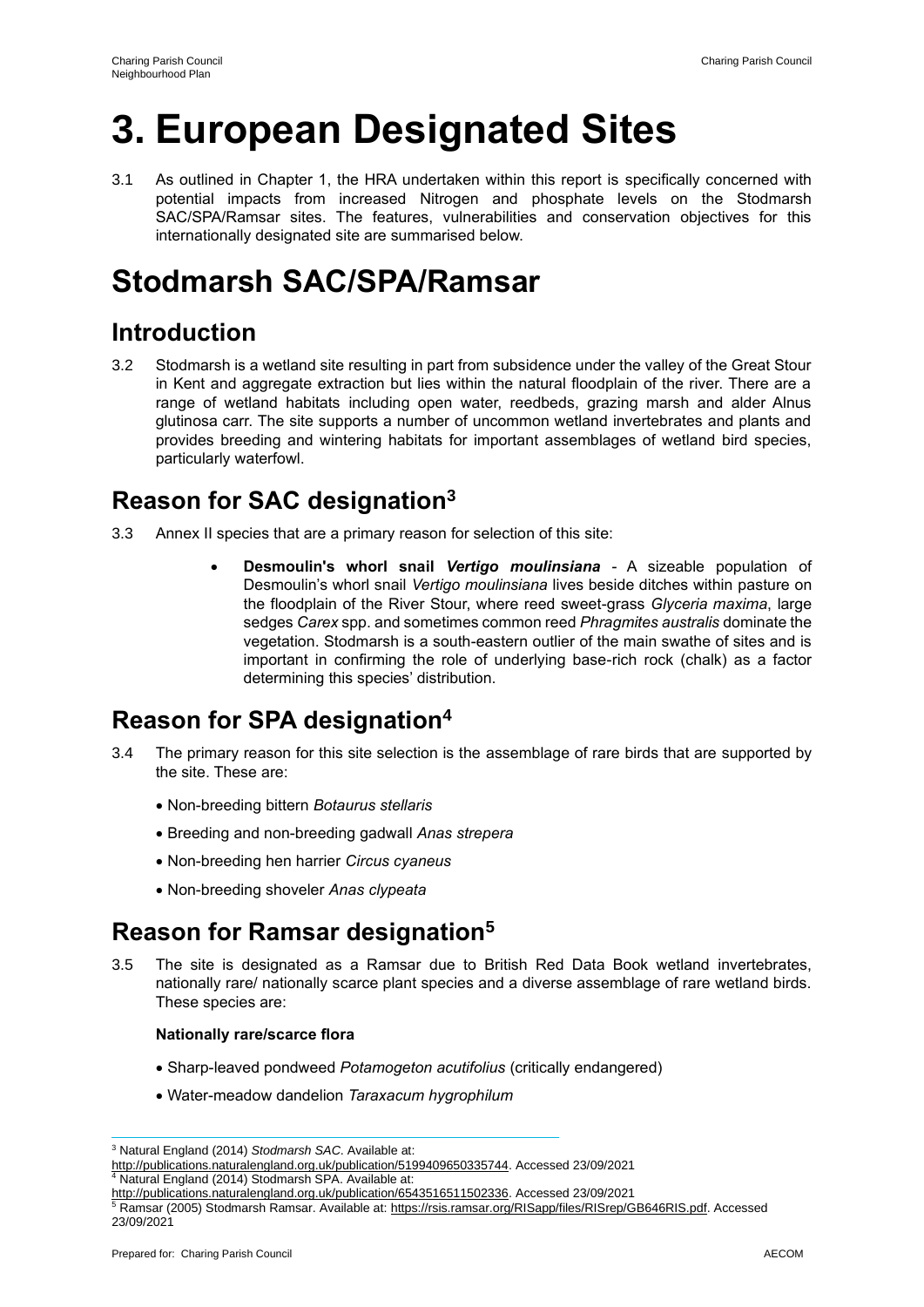# **3. European Designated Sites**

3.1 As outlined in Chapter 1, the HRA undertaken within this report is specifically concerned with potential impacts from increased Nitrogen and phosphate levels on the Stodmarsh SAC/SPA/Ramsar sites. The features, vulnerabilities and conservation objectives for this internationally designated site are summarised below.

# **Stodmarsh SAC/SPA/Ramsar**

### **Introduction**

3.2 Stodmarsh is a wetland site resulting in part from subsidence under the valley of the Great Stour in Kent and aggregate extraction but lies within the natural floodplain of the river. There are a range of wetland habitats including open water, reedbeds, grazing marsh and alder Alnus glutinosa carr. The site supports a number of uncommon wetland invertebrates and plants and provides breeding and wintering habitats for important assemblages of wetland bird species, particularly waterfowl.

### **Reason for SAC designation<sup>3</sup>**

- 3.3 Annex II species that are a primary reason for selection of this site:
	- **Desmoulin's whorl snail** *Vertigo moulinsiana* A sizeable population of Desmoulin's whorl snail *Vertigo moulinsiana* lives beside ditches within pasture on the floodplain of the River Stour, where reed sweet-grass *Glyceria maxima*, large sedges *Carex* spp. and sometimes common reed *Phragmites australis* dominate the vegetation. Stodmarsh is a south-eastern outlier of the main swathe of sites and is important in confirming the role of underlying base-rich rock (chalk) as a factor determining this species' distribution.

### **Reason for SPA designation<sup>4</sup>**

- 3.4 The primary reason for this site selection is the assemblage of rare birds that are supported by the site. These are:
	- Non-breeding bittern *Botaurus stellaris*
	- Breeding and non-breeding gadwall *Anas strepera*
	- Non-breeding hen harrier *Circus cyaneus*
	- Non-breeding shoveler *Anas clypeata*

### **Reason for Ramsar designation<sup>5</sup>**

3.5 The site is designated as a Ramsar due to British Red Data Book wetland invertebrates, nationally rare/ nationally scarce plant species and a diverse assemblage of rare wetland birds. These species are:

#### **Nationally rare/scarce flora**

- Sharp-leaved pondweed *Potamogeton acutifolius* (critically endangered)
- Water-meadow dandelion *Taraxacum hygrophilum*

<sup>3</sup> Natural England (2014) *Stodmarsh SAC*. Available at:

http://publications.naturalengland.org.uk/publication/5199409650335744. Accessed 23/09/2021

<sup>4</sup> Natural England (2014) Stodmarsh SPA. Available at:

http://publications.naturalengland.org.uk/publication/6543516511502336. Accessed 23/09/2021 <sup>5</sup> Ramsar (2005) Stodmarsh Ramsar. Available at: https://rsis.ramsar.org/RISapp/files/RISrep/GB646RIS.pdf. Accessed 23/09/2021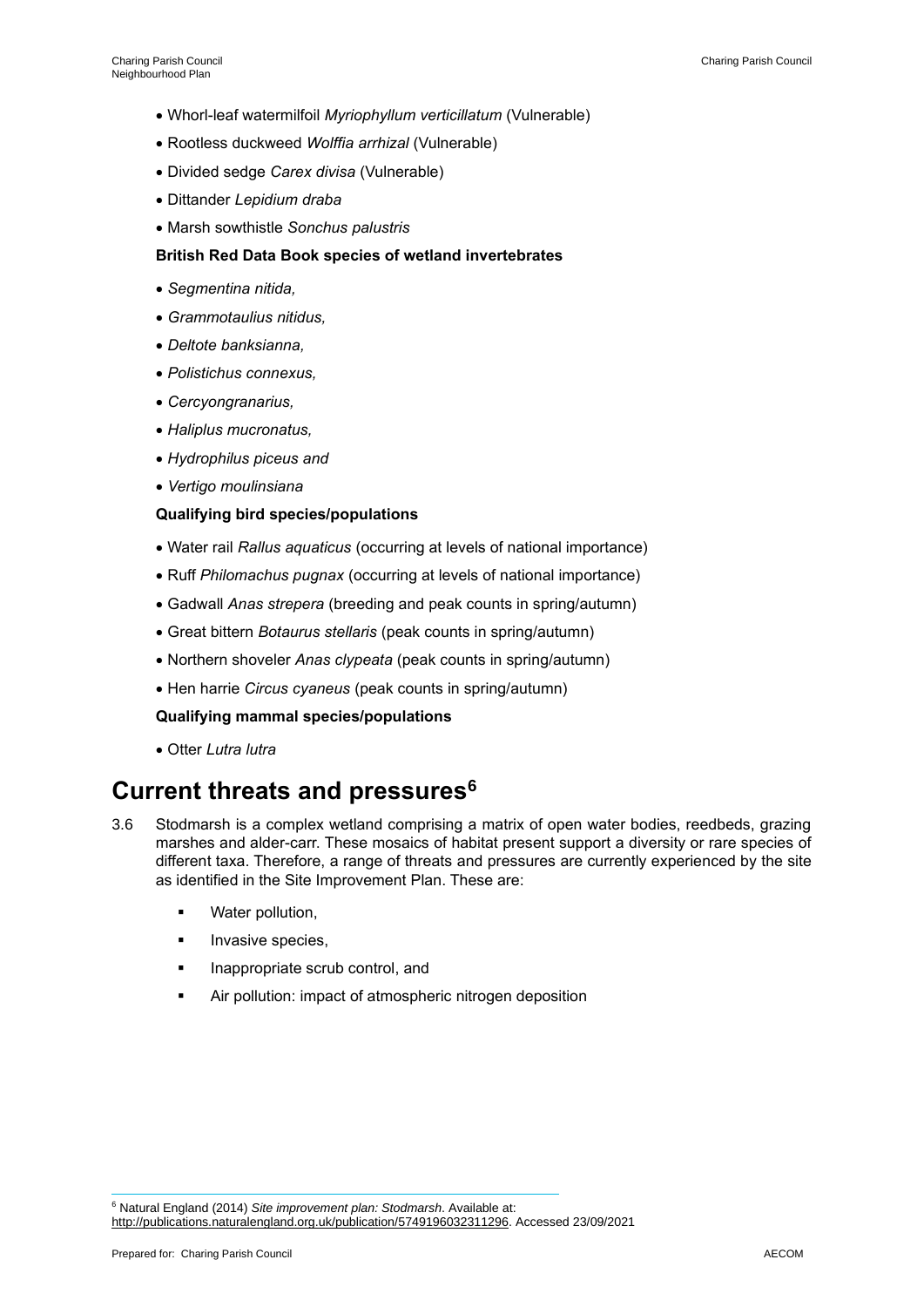- Whorl-leaf watermilfoil *Myriophyllum verticillatum* (Vulnerable)
- Rootless duckweed *Wolffia arrhizal* (Vulnerable)
- Divided sedge *Carex divisa* (Vulnerable)
- Dittander *Lepidium draba*
- Marsh sowthistle *Sonchus palustris*

#### **British Red Data Book species of wetland invertebrates**

- *Segmentina nitida,*
- *Grammotaulius nitidus,*
- *Deltote banksianna,*
- *Polistichus connexus,*
- *Cercyongranarius,*
- *Haliplus mucronatus,*
- *Hydrophilus piceus and*
- *Vertigo moulinsiana*

#### **Qualifying bird species/populations**

- Water rail *Rallus aquaticus* (occurring at levels of national importance)
- Ruff *Philomachus pugnax* (occurring at levels of national importance)
- Gadwall *Anas strepera* (breeding and peak counts in spring/autumn)
- Great bittern *Botaurus stellaris* (peak counts in spring/autumn)
- Northern shoveler *Anas clypeata* (peak counts in spring/autumn)
- Hen harrie *Circus cyaneus* (peak counts in spring/autumn)

#### **Qualifying mammal species/populations**

• Otter *Lutra lutra*

### **Current threats and pressures<sup>6</sup>**

- 3.6 Stodmarsh is a complex wetland comprising a matrix of open water bodies, reedbeds, grazing marshes and alder-carr. These mosaics of habitat present support a diversity or rare species of different taxa. Therefore, a range of threats and pressures are currently experienced by the site as identified in the Site Improvement Plan. These are:
	- Water pollution,
	- **·** Invasive species,
	- **·** Inappropriate scrub control, and
	- Air pollution: impact of atmospheric nitrogen deposition

<sup>6</sup> Natural England (2014) *Site improvement plan: Stodmarsh*. Available at: http://publications.naturalengland.org.uk/publication/5749196032311296. Accessed 23/09/2021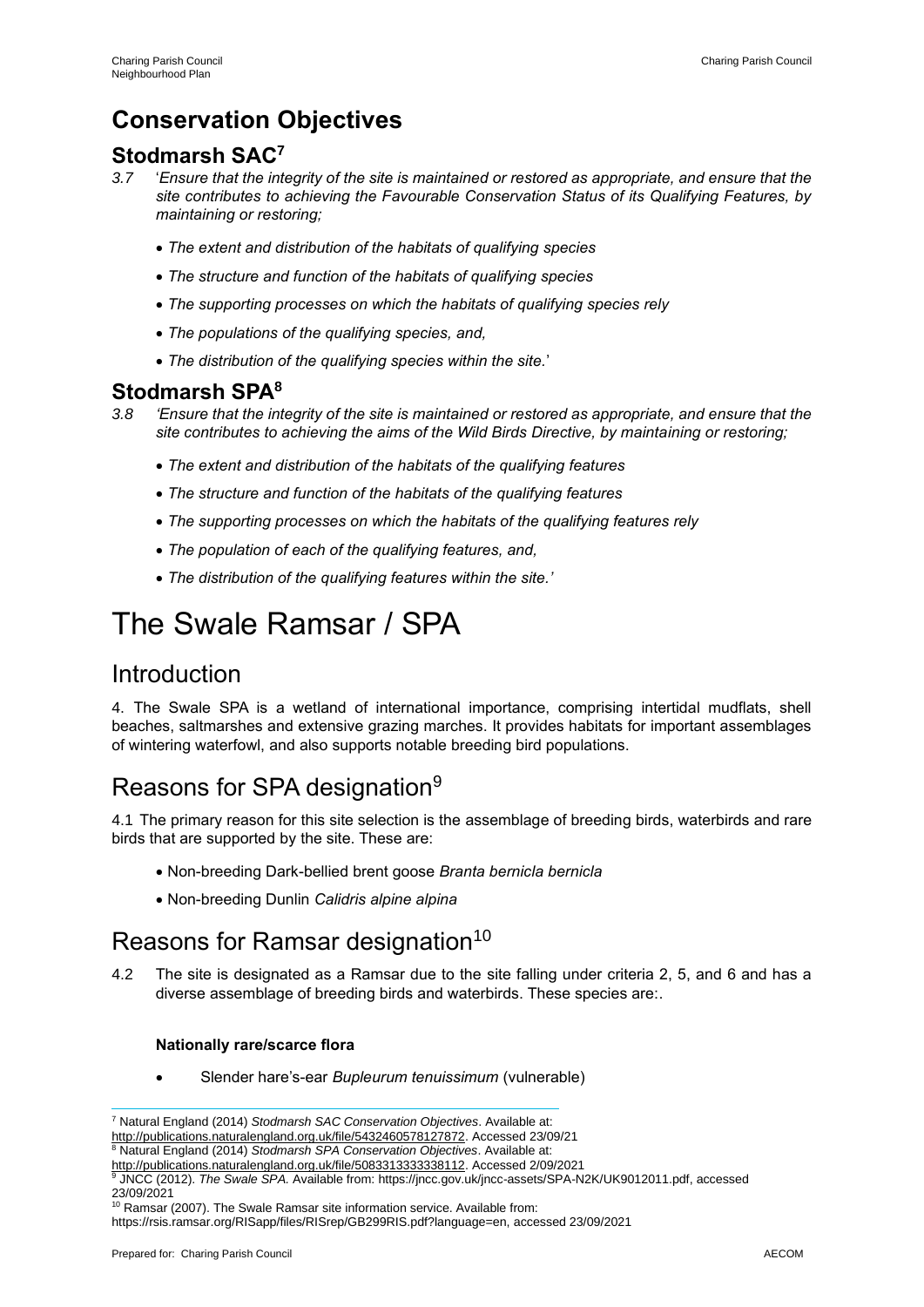### **Conservation Objectives**

### **Stodmarsh SAC<sup>7</sup>**

- *3.7* '*Ensure that the integrity of the site is maintained or restored as appropriate, and ensure that the site contributes to achieving the Favourable Conservation Status of its Qualifying Features, by maintaining or restoring;* 
	- *The extent and distribution of the habitats of qualifying species*
	- *The structure and function of the habitats of qualifying species*
	- *The supporting processes on which the habitats of qualifying species rely*
	- *The populations of the qualifying species, and,*
	- *The distribution of the qualifying species within the site.*'

### **Stodmarsh SPA<sup>8</sup>**

- *3.8 'Ensure that the integrity of the site is maintained or restored as appropriate, and ensure that the site contributes to achieving the aims of the Wild Birds Directive, by maintaining or restoring;* 
	- *The extent and distribution of the habitats of the qualifying features*
	- *The structure and function of the habitats of the qualifying features*
	- *The supporting processes on which the habitats of the qualifying features rely*
	- *The population of each of the qualifying features, and,*
	- *The distribution of the qualifying features within the site.'*

# The Swale Ramsar / SPA

### Introduction

4. The Swale SPA is a wetland of international importance, comprising intertidal mudflats, shell beaches, saltmarshes and extensive grazing marches. It provides habitats for important assemblages of wintering waterfowl, and also supports notable breeding bird populations.

### Reasons for SPA designation<sup>9</sup>

4.1 The primary reason for this site selection is the assemblage of breeding birds, waterbirds and rare birds that are supported by the site. These are:

- Non-breeding Dark-bellied brent goose *Branta bernicla bernicla*
- Non-breeding Dunlin *Calidris alpine alpina*

### Reasons for Ramsar designation<sup>10</sup>

4.2 The site is designated as a Ramsar due to the site falling under criteria 2, 5, and 6 and has a diverse assemblage of breeding birds and waterbirds. These species are:.

#### **Nationally rare/scarce flora**

• Slender hare's-ear *Bupleurum tenuissimum* (vulnerable)

<sup>8</sup> Natural England (2014) *Stodmarsh SPA Conservation Objectives*. Available at:

<sup>9</sup> JNCC (2012). *The Swale SPA.* Available from: https://jncc.gov.uk/jncc-assets/SPA-N2K/UK9012011.pdf, accessed 23/09/2021

https://rsis.ramsar.org/RISapp/files/RISrep/GB299RIS.pdf?language=en, accessed 23/09/2021

<sup>7</sup> Natural England (2014) *Stodmarsh SAC Conservation Objectives*. Available at:

http://publications.naturalengland.org.uk/file/5432460578127872. Accessed 23/09/21

http://publications.naturalengland.org.uk/file/5083313333338112. Accessed 2/09/2021

<sup>&</sup>lt;sup>10</sup> Ramsar (2007). The Swale Ramsar site information service. Available from: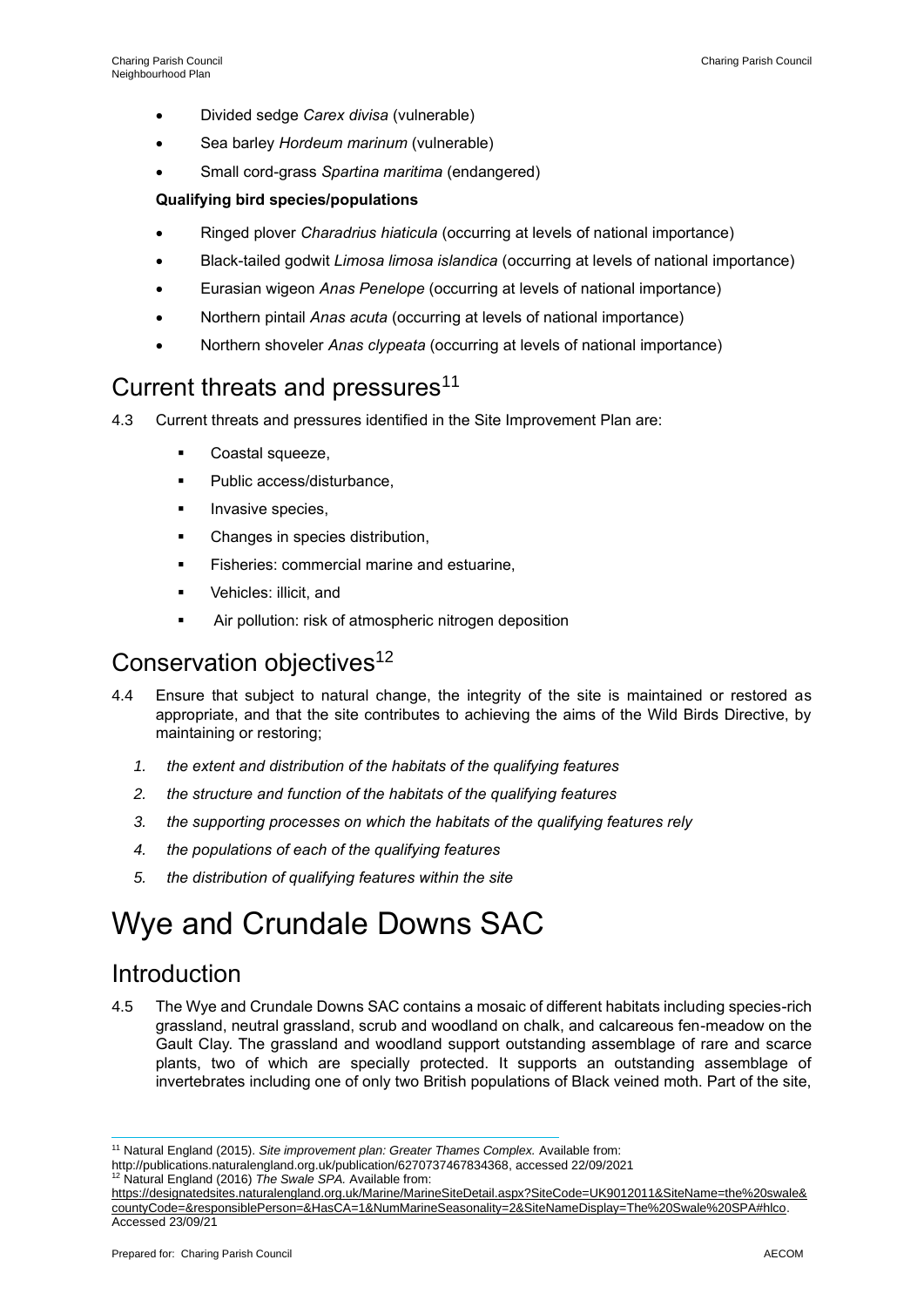- Divided sedge *Carex divisa* (vulnerable)
- Sea barley *Hordeum marinum* (vulnerable)
- Small cord-grass *Spartina maritima* (endangered)

#### **Qualifying bird species/populations**

- Ringed plover *Charadrius hiaticula* (occurring at levels of national importance)
- Black-tailed godwit *Limosa limosa islandica* (occurring at levels of national importance)
- Eurasian wigeon *Anas Penelope* (occurring at levels of national importance)
- Northern pintail *Anas acuta* (occurring at levels of national importance)
- Northern shoveler *Anas clypeata* (occurring at levels of national importance)

### Current threats and pressures<sup>11</sup>

- 4.3 Current threats and pressures identified in the Site Improvement Plan are:
	- Coastal squeeze,
	- Public access/disturbance,
	- Invasive species,
	- Changes in species distribution,
	- **EXECTE:** Fisheries: commercial marine and estuarine,
	- Vehicles: illicit, and
	- Air pollution: risk of atmospheric nitrogen deposition

### Conservation objectives<sup>12</sup>

- 4.4 Ensure that subject to natural change, the integrity of the site is maintained or restored as appropriate, and that the site contributes to achieving the aims of the Wild Birds Directive, by maintaining or restoring;
	- *1. the extent and distribution of the habitats of the qualifying features*
	- *2. the structure and function of the habitats of the qualifying features*
	- *3. the supporting processes on which the habitats of the qualifying features rely*
	- *4. the populations of each of the qualifying features*
	- *5. the distribution of qualifying features within the site*

# Wye and Crundale Downs SAC

### Introduction

4.5 The Wye and Crundale Downs SAC contains a mosaic of different habitats including species-rich grassland, neutral grassland, scrub and woodland on chalk, and calcareous fen-meadow on the Gault Clay. The grassland and woodland support outstanding assemblage of rare and scarce plants, two of which are specially protected. It supports an outstanding assemblage of invertebrates including one of only two British populations of Black veined moth. Part of the site,

<sup>11</sup> Natural England (2015). *Site improvement plan: Greater Thames Complex.* Available from:

http://publications.naturalengland.org.uk/publication/6270737467834368, accessed 22/09/2021

<sup>12</sup> Natural England (2016) *The Swale SPA.* Available from:

https://designatedsites.naturalengland.org.uk/Marine/MarineSiteDetail.aspx?SiteCode=UK9012011&SiteName=the%20swale& countyCode=&responsiblePerson=&HasCA=1&NumMarineSeasonality=2&SiteNameDisplay=The%20Swale%20SPA#hlco. Accessed 23/09/21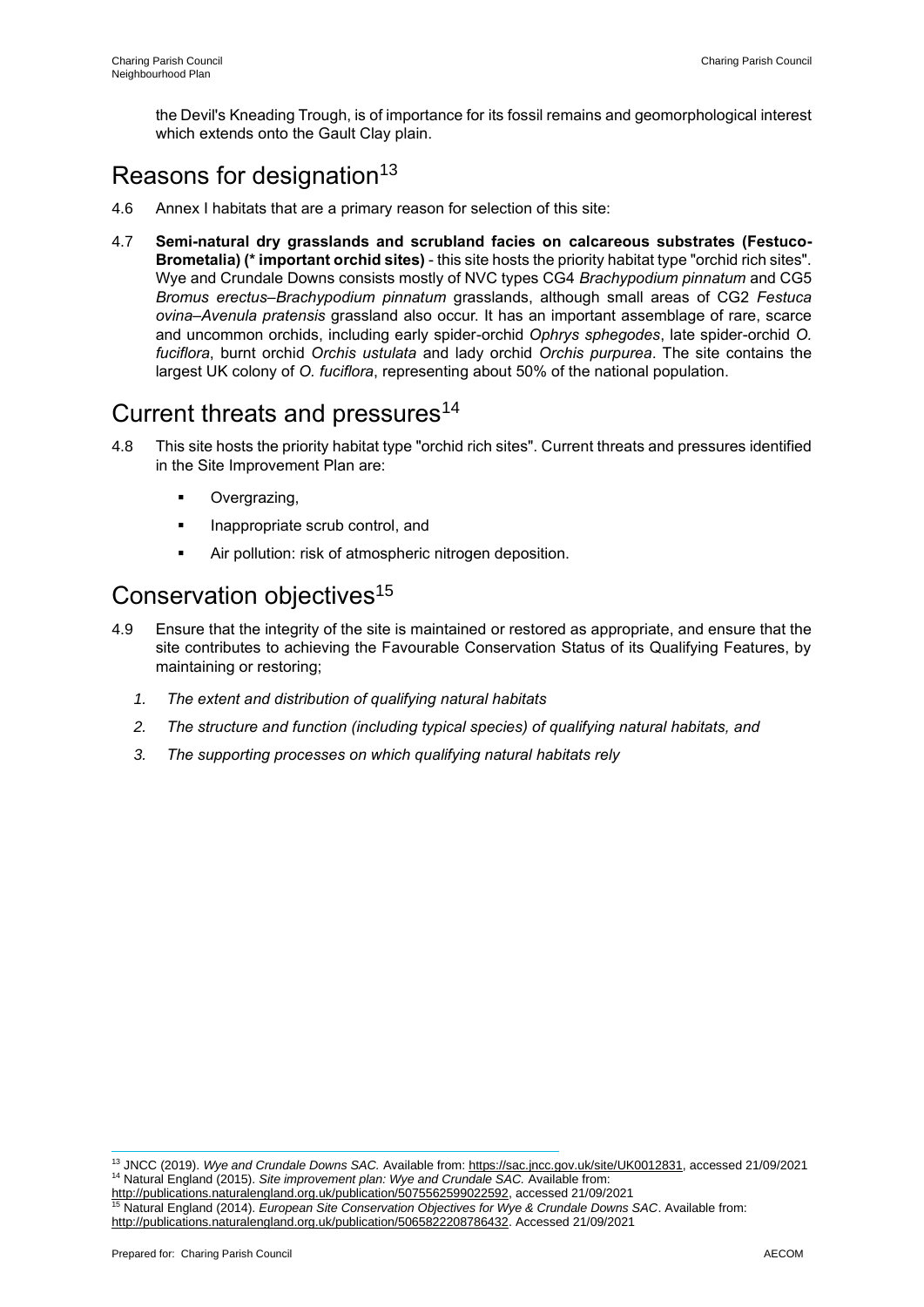the Devil's Kneading Trough, is of importance for its fossil remains and geomorphological interest which extends onto the Gault Clay plain.

### Reasons for designation<sup>13</sup>

- 4.6 Annex I habitats that are a primary reason for selection of this site:
- 4.7 **Semi-natural dry grasslands and scrubland facies on calcareous substrates (Festuco-Brometalia) (\* important orchid sites)** - this site hosts the priority habitat type "orchid rich sites". Wye and Crundale Downs consists mostly of NVC types CG4 *Brachypodium pinnatum* and CG5 *Bromus erectus*–*Brachypodium pinnatum* grasslands, although small areas of CG2 *Festuca ovina–Avenula pratensis* grassland also occur. It has an important assemblage of rare, scarce and uncommon orchids, including early spider-orchid *Ophrys sphegodes*, late spider-orchid *O. fuciflora*, burnt orchid *Orchis ustulata* and lady orchid *Orchis purpurea*. The site contains the largest UK colony of *O. fuciflora*, representing about 50% of the national population.

### Current threats and pressures<sup>14</sup>

- 4.8 This site hosts the priority habitat type "orchid rich sites". Current threats and pressures identified in the Site Improvement Plan are:
	- Overgrazing,
	- Inappropriate scrub control, and
	- Air pollution: risk of atmospheric nitrogen deposition.

### Conservation objectives<sup>15</sup>

- 4.9 Ensure that the integrity of the site is maintained or restored as appropriate, and ensure that the site contributes to achieving the Favourable Conservation Status of its Qualifying Features, by maintaining or restoring;
	- *1. The extent and distribution of qualifying natural habitats*
	- *2. The structure and function (including typical species) of qualifying natural habitats, and*
	- *3. The supporting processes on which qualifying natural habitats rely*

<sup>13</sup> JNCC (2019). *Wye and Crundale Downs SAC.* Available from: https://sac.jncc.gov.uk/site/UK0012831, accessed 21/09/2021 <sup>14</sup> Natural England (2015). *Site improvement plan: Wye and Crundale SAC.* Available from:

http://publications.naturalengland.org.uk/publication/5075562599022592, accessed 21/09/2021 <sup>15</sup> Natural England (2014). *European Site Conservation Objectives for Wye & Crundale Downs SAC*. Available from: http://publications.naturalengland.org.uk/publication/5065822208786432. Accessed 21/09/2021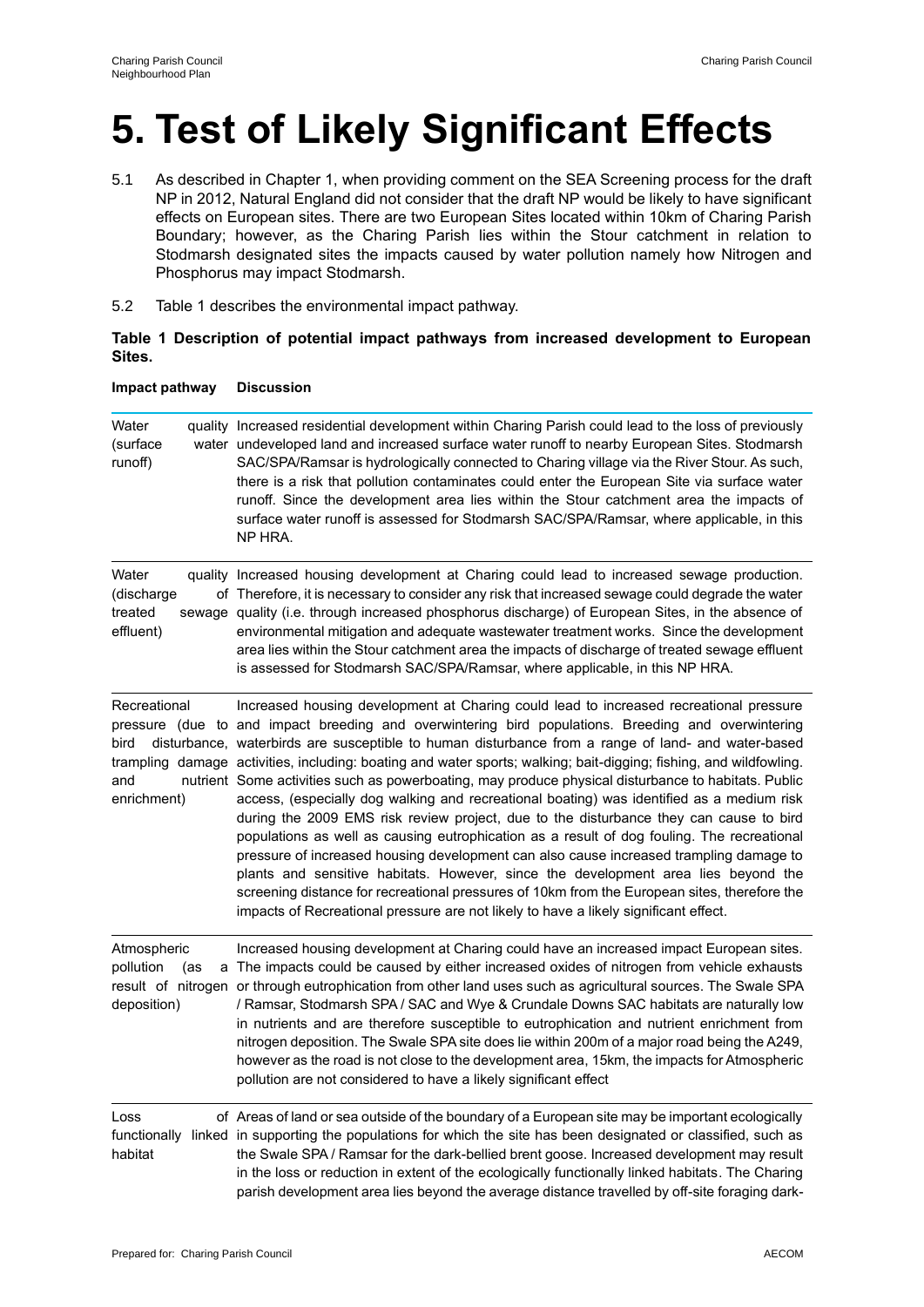# **5. Test of Likely Significant Effects**

- 5.1 As described in Chapter 1, when providing comment on the SEA Screening process for the draft NP in 2012, Natural England did not consider that the draft NP would be likely to have significant effects on European sites. There are two European Sites located within 10km of Charing Parish Boundary; however, as the Charing Parish lies within the Stour catchment in relation to Stodmarsh designated sites the impacts caused by water pollution namely how Nitrogen and Phosphorus may impact Stodmarsh.
- 5.2 Table 1 describes the environmental impact pathway.

#### **Table 1 Description of potential impact pathways from increased development to European Sites.**

| Water<br>(surface<br>runoff)                   | quality Increased residential development within Charing Parish could lead to the loss of previously<br>water undeveloped land and increased surface water runoff to nearby European Sites. Stodmarsh<br>SAC/SPA/Ramsar is hydrologically connected to Charing village via the River Stour. As such,<br>there is a risk that pollution contaminates could enter the European Site via surface water<br>runoff. Since the development area lies within the Stour catchment area the impacts of<br>surface water runoff is assessed for Stodmarsh SAC/SPA/Ramsar, where applicable, in this<br>NP HRA.                                                                                                                                                                                                                                                                                                                                                                                                                                                                                                                                                                                          |
|------------------------------------------------|-----------------------------------------------------------------------------------------------------------------------------------------------------------------------------------------------------------------------------------------------------------------------------------------------------------------------------------------------------------------------------------------------------------------------------------------------------------------------------------------------------------------------------------------------------------------------------------------------------------------------------------------------------------------------------------------------------------------------------------------------------------------------------------------------------------------------------------------------------------------------------------------------------------------------------------------------------------------------------------------------------------------------------------------------------------------------------------------------------------------------------------------------------------------------------------------------|
| Water<br>(discharge<br>treated<br>effluent)    | quality Increased housing development at Charing could lead to increased sewage production.<br>of Therefore, it is necessary to consider any risk that increased sewage could degrade the water<br>sewage quality (i.e. through increased phosphorus discharge) of European Sites, in the absence of<br>environmental mitigation and adequate wastewater treatment works. Since the development<br>area lies within the Stour catchment area the impacts of discharge of treated sewage effluent<br>is assessed for Stodmarsh SAC/SPA/Ramsar, where applicable, in this NP HRA.                                                                                                                                                                                                                                                                                                                                                                                                                                                                                                                                                                                                               |
| Recreational<br>bird<br>and<br>enrichment)     | Increased housing development at Charing could lead to increased recreational pressure<br>pressure (due to and impact breeding and overwintering bird populations. Breeding and overwintering<br>disturbance, waterbirds are susceptible to human disturbance from a range of land- and water-based<br>trampling damage activities, including: boating and water sports; walking; bait-digging; fishing, and wildfowling.<br>nutrient Some activities such as powerboating, may produce physical disturbance to habitats. Public<br>access, (especially dog walking and recreational boating) was identified as a medium risk<br>during the 2009 EMS risk review project, due to the disturbance they can cause to bird<br>populations as well as causing eutrophication as a result of dog fouling. The recreational<br>pressure of increased housing development can also cause increased trampling damage to<br>plants and sensitive habitats. However, since the development area lies beyond the<br>screening distance for recreational pressures of 10km from the European sites, therefore the<br>impacts of Recreational pressure are not likely to have a likely significant effect. |
| Atmospheric<br>pollution<br>(as<br>deposition) | Increased housing development at Charing could have an increased impact European sites.<br>a The impacts could be caused by either increased oxides of nitrogen from vehicle exhausts<br>result of nitrogen or through eutrophication from other land uses such as agricultural sources. The Swale SPA<br>/ Ramsar, Stodmarsh SPA / SAC and Wye & Crundale Downs SAC habitats are naturally low<br>in nutrients and are therefore susceptible to eutrophication and nutrient enrichment from<br>nitrogen deposition. The Swale SPA site does lie within 200m of a major road being the A249,<br>however as the road is not close to the development area, 15km, the impacts for Atmospheric<br>pollution are not considered to have a likely significant effect                                                                                                                                                                                                                                                                                                                                                                                                                               |
| Loss<br>habitat                                | of Areas of land or sea outside of the boundary of a European site may be important ecologically<br>functionally linked in supporting the populations for which the site has been designated or classified, such as<br>the Swale SPA / Ramsar for the dark-bellied brent goose. Increased development may result<br>in the loss or reduction in extent of the ecologically functionally linked habitats. The Charing<br>parish development area lies beyond the average distance travelled by off-site foraging dark-                                                                                                                                                                                                                                                                                                                                                                                                                                                                                                                                                                                                                                                                         |

#### **Impact pathway Discussion**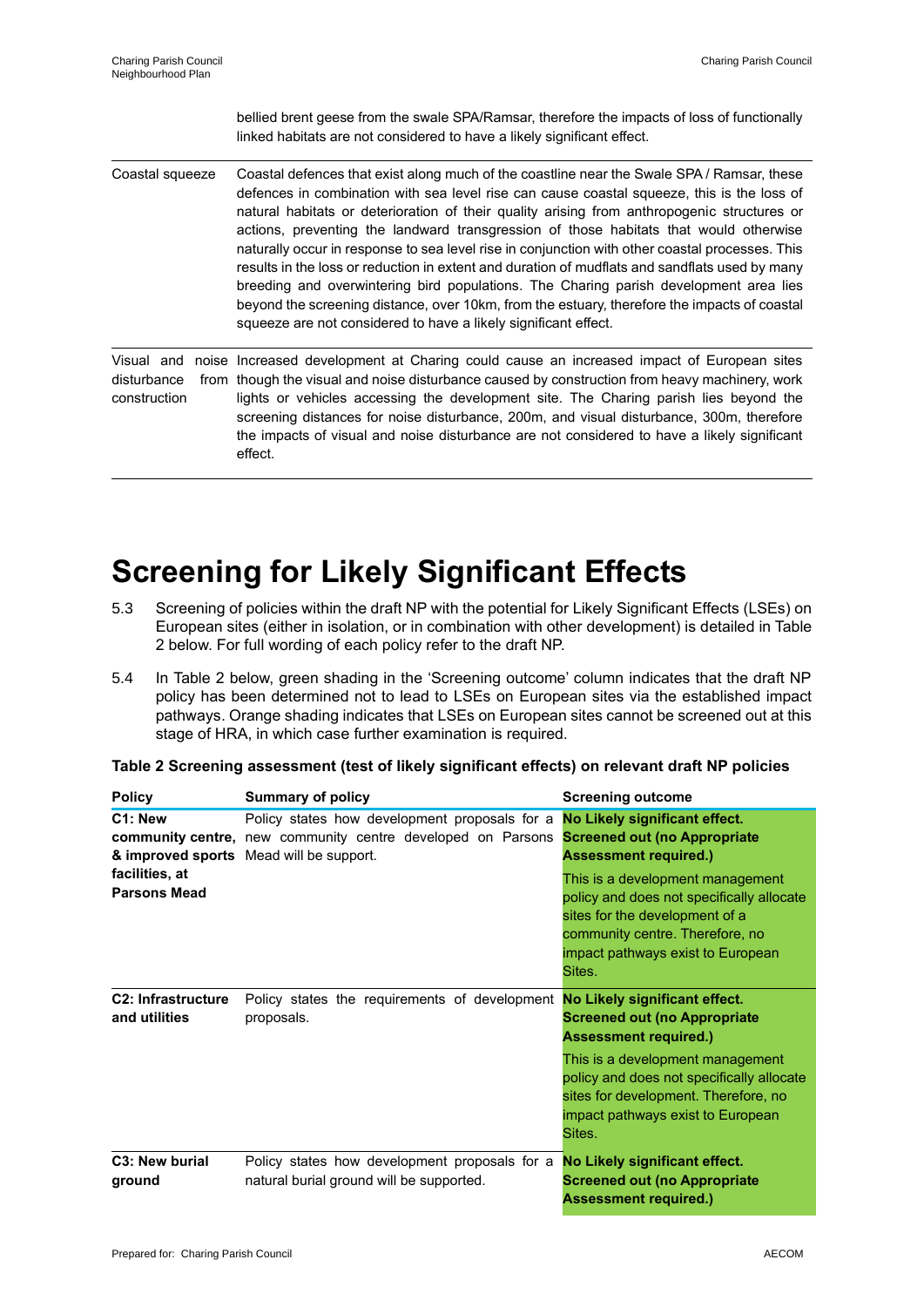bellied brent geese from the swale SPA/Ramsar, therefore the impacts of loss of functionally linked habitats are not considered to have a likely significant effect. Coastal squeeze Coastal defences that exist along much of the coastline near the Swale SPA / Ramsar, these defences in combination with sea level rise can cause coastal squeeze, this is the loss of natural habitats or deterioration of their quality arising from anthropogenic structures or actions, preventing the landward transgression of those habitats that would otherwise naturally occur in response to sea level rise in conjunction with other coastal processes. This results in the loss or reduction in extent and duration of mudflats and sandflats used by many breeding and overwintering bird populations. The Charing parish development area lies beyond the screening distance, over 10km, from the estuary, therefore the impacts of coastal squeeze are not considered to have a likely significant effect. Visual and noise Increased development at Charing could cause an increased impact of European sites disturbance construction from though the visual and noise disturbance caused by construction from heavy machinery, work lights or vehicles accessing the development site. The Charing parish lies beyond the screening distances for noise disturbance, 200m, and visual disturbance, 300m, therefore the impacts of visual and noise disturbance are not considered to have a likely significant effect.

# **Screening for Likely Significant Effects**

- 5.3 Screening of policies within the draft NP with the potential for Likely Significant Effects (LSEs) on European sites (either in isolation, or in combination with other development) is detailed in Table 2 below. For full wording of each policy refer to the draft NP.
- 5.4 In Table 2 below, green shading in the 'Screening outcome' column indicates that the draft NP policy has been determined not to lead to LSEs on European sites via the established impact pathways. Orange shading indicates that LSEs on European sites cannot be screened out at this stage of HRA, in which case further examination is required.

| <b>Policy</b>                              | <b>Summary of policy</b>                                                                                                                                                                            | <b>Screening outcome</b>                                                                                                                                                                          |
|--------------------------------------------|-----------------------------------------------------------------------------------------------------------------------------------------------------------------------------------------------------|---------------------------------------------------------------------------------------------------------------------------------------------------------------------------------------------------|
| C1: New                                    | Policy states how development proposals for a <b>No Likely significant effect.</b><br><b>community centre,</b> new community centre developed on Parsons<br>& improved sports Mead will be support. | <b>Screened out (no Appropriate</b><br><b>Assessment required.)</b>                                                                                                                               |
| facilities, at<br><b>Parsons Mead</b>      |                                                                                                                                                                                                     | This is a development management<br>policy and does not specifically allocate<br>sites for the development of a<br>community centre. Therefore, no<br>impact pathways exist to European<br>Sites. |
| <b>C2: Infrastructure</b><br>and utilities | Policy states the requirements of development <b>No Likely significant effect.</b><br>proposals.                                                                                                    | <b>Screened out (no Appropriate</b><br><b>Assessment required.)</b>                                                                                                                               |
|                                            |                                                                                                                                                                                                     | This is a development management<br>policy and does not specifically allocate<br>sites for development. Therefore, no<br>impact pathways exist to European<br>Sites.                              |
| C <sub>3</sub> : New burial<br>ground      | Policy states how development proposals for a<br>natural burial ground will be supported.                                                                                                           | No Likely significant effect.<br><b>Screened out (no Appropriate</b><br><b>Assessment required.)</b>                                                                                              |

**Table 2 Screening assessment (test of likely significant effects) on relevant draft NP policies**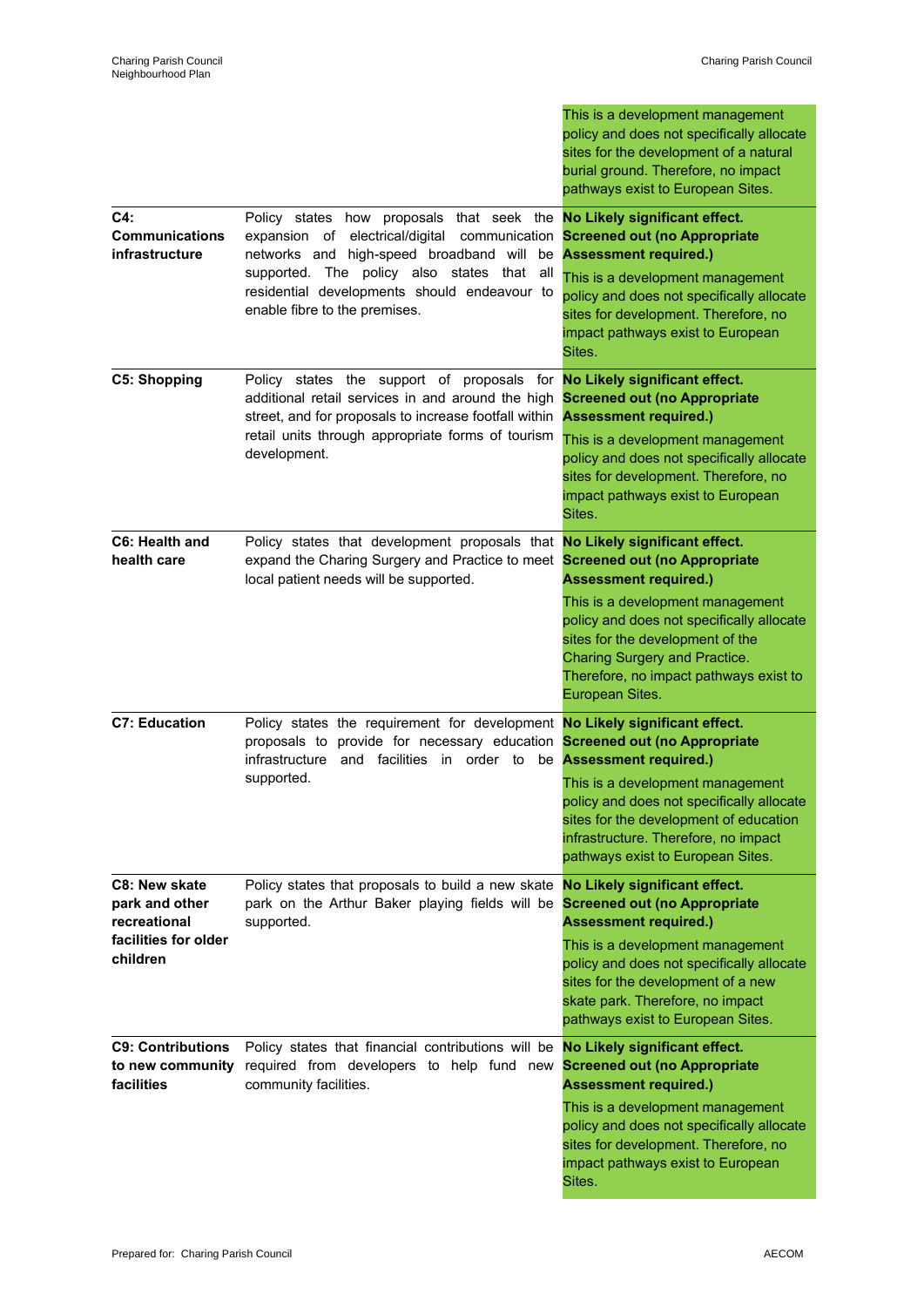|                                                                                     |                                                                                                                                                                                                                                                                                                                | This is a development management<br>policy and does not specifically allocate<br>sites for the development of a natural<br>burial ground. Therefore, no impact<br>pathways exist to European Sites.                                                                                                  |
|-------------------------------------------------------------------------------------|----------------------------------------------------------------------------------------------------------------------------------------------------------------------------------------------------------------------------------------------------------------------------------------------------------------|------------------------------------------------------------------------------------------------------------------------------------------------------------------------------------------------------------------------------------------------------------------------------------------------------|
| C4:<br><b>Communications</b><br><b>infrastructure</b>                               | Policy states how proposals that seek the <b>No Likely significant effect.</b><br>expansion of electrical/digital<br>communication<br>networks and high-speed broadband will be<br>supported. The policy also states that all<br>residential developments should endeavour to<br>enable fibre to the premises. | <b>Screened out (no Appropriate</b><br><b>Assessment required.)</b><br>This is a development management<br>policy and does not specifically allocate<br>sites for development. Therefore, no<br>impact pathways exist to European<br>Sites.                                                          |
| <b>C5: Shopping</b>                                                                 | Policy states the support of proposals for<br>additional retail services in and around the high<br>street, and for proposals to increase footfall within<br>retail units through appropriate forms of tourism<br>development.                                                                                  | No Likely significant effect.<br><b>Screened out (no Appropriate</b><br><b>Assessment required.)</b><br>This is a development management<br>policy and does not specifically allocate<br>sites for development. Therefore, no<br>impact pathways exist to European<br>Sites.                         |
| C6: Health and<br>health care                                                       | Policy states that development proposals that No Likely significant effect.<br>expand the Charing Surgery and Practice to meet<br>local patient needs will be supported.                                                                                                                                       | <b>Screened out (no Appropriate</b><br><b>Assessment required.)</b><br>This is a development management<br>policy and does not specifically allocate<br>sites for the development of the<br>Charing Surgery and Practice.<br>Therefore, no impact pathways exist to                                  |
| <b>C7: Education</b>                                                                | Policy states the requirement for development No Likely significant effect.<br>proposals to provide for necessary education<br>infrastructure<br>and facilities<br>in order to<br>supported.                                                                                                                   | European Sites.<br><b>Screened out (no Appropriate</b><br>be Assessment required.)<br>This is a development management<br>policy and does not specifically allocate<br>sites for the development of education<br>infrastructure. Therefore, no impact<br>pathways exist to European Sites.           |
| C8: New skate<br>park and other<br>recreational<br>facilities for older<br>children | Policy states that proposals to build a new skate<br>park on the Arthur Baker playing fields will be<br>supported.                                                                                                                                                                                             | No Likely significant effect.<br><b>Screened out (no Appropriate</b><br><b>Assessment required.)</b><br>This is a development management<br>policy and does not specifically allocate<br>sites for the development of a new<br>skate park. Therefore, no impact<br>pathways exist to European Sites. |
| <b>C9: Contributions</b><br>to new community<br>facilities                          | Policy states that financial contributions will be<br>required from developers to help fund new<br>community facilities.                                                                                                                                                                                       | No Likely significant effect.<br><b>Screened out (no Appropriate</b><br><b>Assessment required.)</b><br>This is a development management<br>policy and does not specifically allocate<br>sites for development. Therefore, no<br>impact pathways exist to European<br>Sites.                         |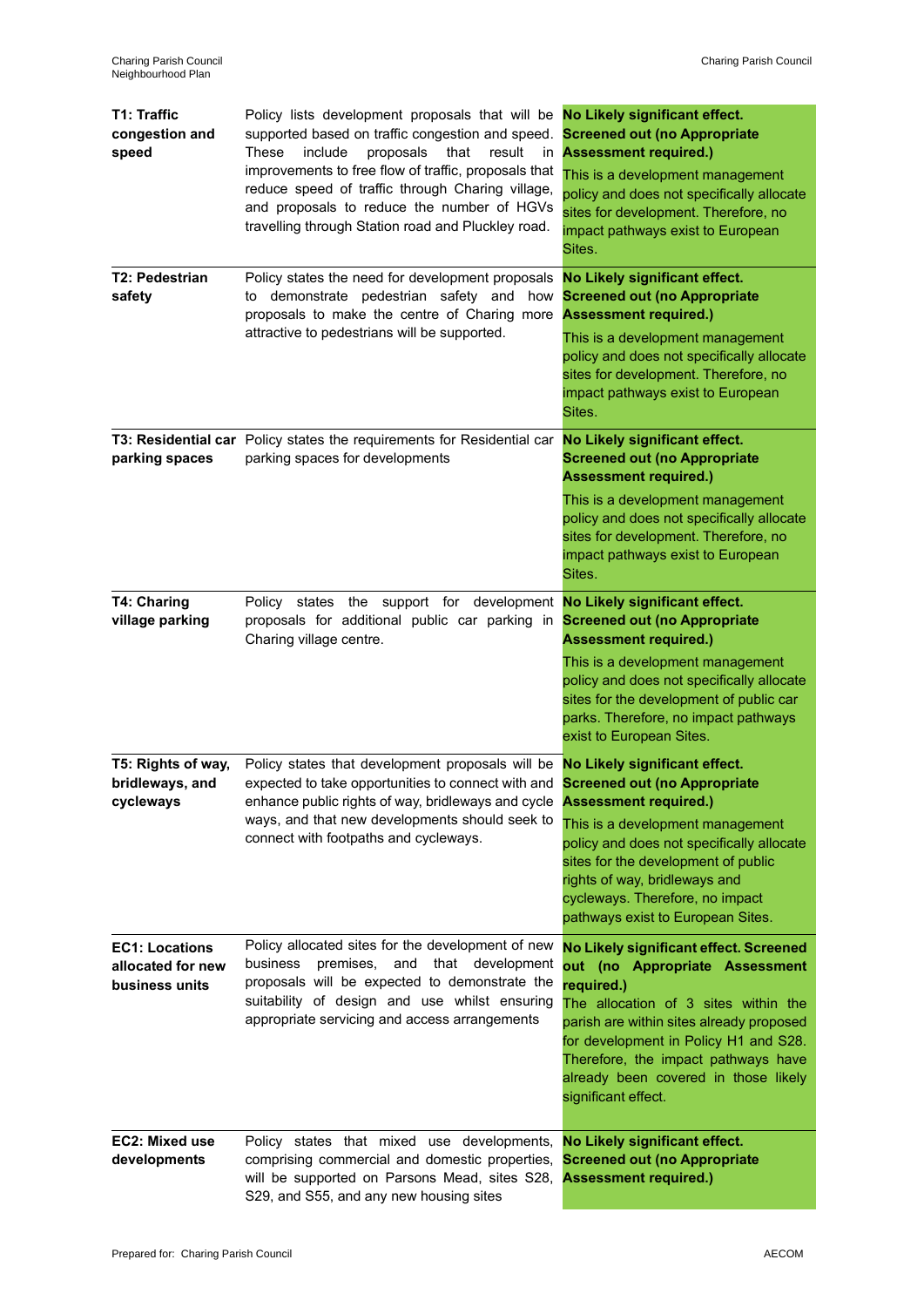| <b>T1: Traffic</b><br>congestion and<br>speed                | Policy lists development proposals that will be No Likely significant effect.<br>supported based on traffic congestion and speed.<br>These<br>include<br>proposals<br>that<br>result<br>in<br>improvements to free flow of traffic, proposals that<br>reduce speed of traffic through Charing village,<br>and proposals to reduce the number of HGVs<br>travelling through Station road and Pluckley road. | <b>Screened out (no Appropriate</b><br><b>Assessment required.)</b><br>This is a development management<br>policy and does not specifically allocate<br>sites for development. Therefore, no<br>impact pathways exist to European<br>Sites.                                                                               |
|--------------------------------------------------------------|------------------------------------------------------------------------------------------------------------------------------------------------------------------------------------------------------------------------------------------------------------------------------------------------------------------------------------------------------------------------------------------------------------|---------------------------------------------------------------------------------------------------------------------------------------------------------------------------------------------------------------------------------------------------------------------------------------------------------------------------|
| <b>T2: Pedestrian</b><br>safety                              | Policy states the need for development proposals<br>demonstrate pedestrian safety and how<br>to<br>proposals to make the centre of Charing more<br>attractive to pedestrians will be supported.                                                                                                                                                                                                            | No Likely significant effect.<br><b>Screened out (no Appropriate</b><br><b>Assessment required.)</b><br>This is a development management<br>policy and does not specifically allocate<br>sites for development. Therefore, no<br>impact pathways exist to European<br>Sites.                                              |
| parking spaces                                               | T3: Residential car Policy states the requirements for Residential car No Likely significant effect.<br>parking spaces for developments                                                                                                                                                                                                                                                                    | <b>Screened out (no Appropriate</b><br><b>Assessment required.)</b><br>This is a development management<br>policy and does not specifically allocate<br>sites for development. Therefore, no<br>impact pathways exist to European<br>Sites.                                                                               |
| <b>T4: Charing</b><br>village parking                        | Policy states the support for development<br>proposals for additional public car parking in<br>Charing village centre.                                                                                                                                                                                                                                                                                     | No Likely significant effect.<br><b>Screened out (no Appropriate</b><br><b>Assessment required.)</b><br>This is a development management<br>policy and does not specifically allocate<br>sites for the development of public car<br>parks. Therefore, no impact pathways<br>exist to European Sites.                      |
| T5: Rights of way,<br>bridleways, and<br>cycleways           | Policy states that development proposals will be No Likely significant effect.<br>expected to take opportunities to connect with and Screened out (no Appropriate<br>enhance public rights of way, bridleways and cycle <b>Assessment required.)</b><br>ways, and that new developments should seek to<br>connect with footpaths and cycleways.                                                            | This is a development management<br>policy and does not specifically allocate<br>sites for the development of public<br>rights of way, bridleways and<br>cycleways. Therefore, no impact<br>pathways exist to European Sites.                                                                                             |
| <b>EC1: Locations</b><br>allocated for new<br>business units | Policy allocated sites for the development of new<br>business premises,<br>and<br>that development<br>proposals will be expected to demonstrate the<br>suitability of design and use whilst ensuring<br>appropriate servicing and access arrangements                                                                                                                                                      | No Likely significant effect. Screened<br>out (no Appropriate Assessment<br>required.)<br>The allocation of 3 sites within the<br>parish are within sites already proposed<br>for development in Policy H1 and S28.<br>Therefore, the impact pathways have<br>already been covered in those likely<br>significant effect. |
| EC2: Mixed use<br>developments                               | Policy states that mixed use developments,<br>comprising commercial and domestic properties,<br>will be supported on Parsons Mead, sites S28,<br>S29, and S55, and any new housing sites                                                                                                                                                                                                                   | No Likely significant effect.<br><b>Screened out (no Appropriate</b><br><b>Assessment required.)</b>                                                                                                                                                                                                                      |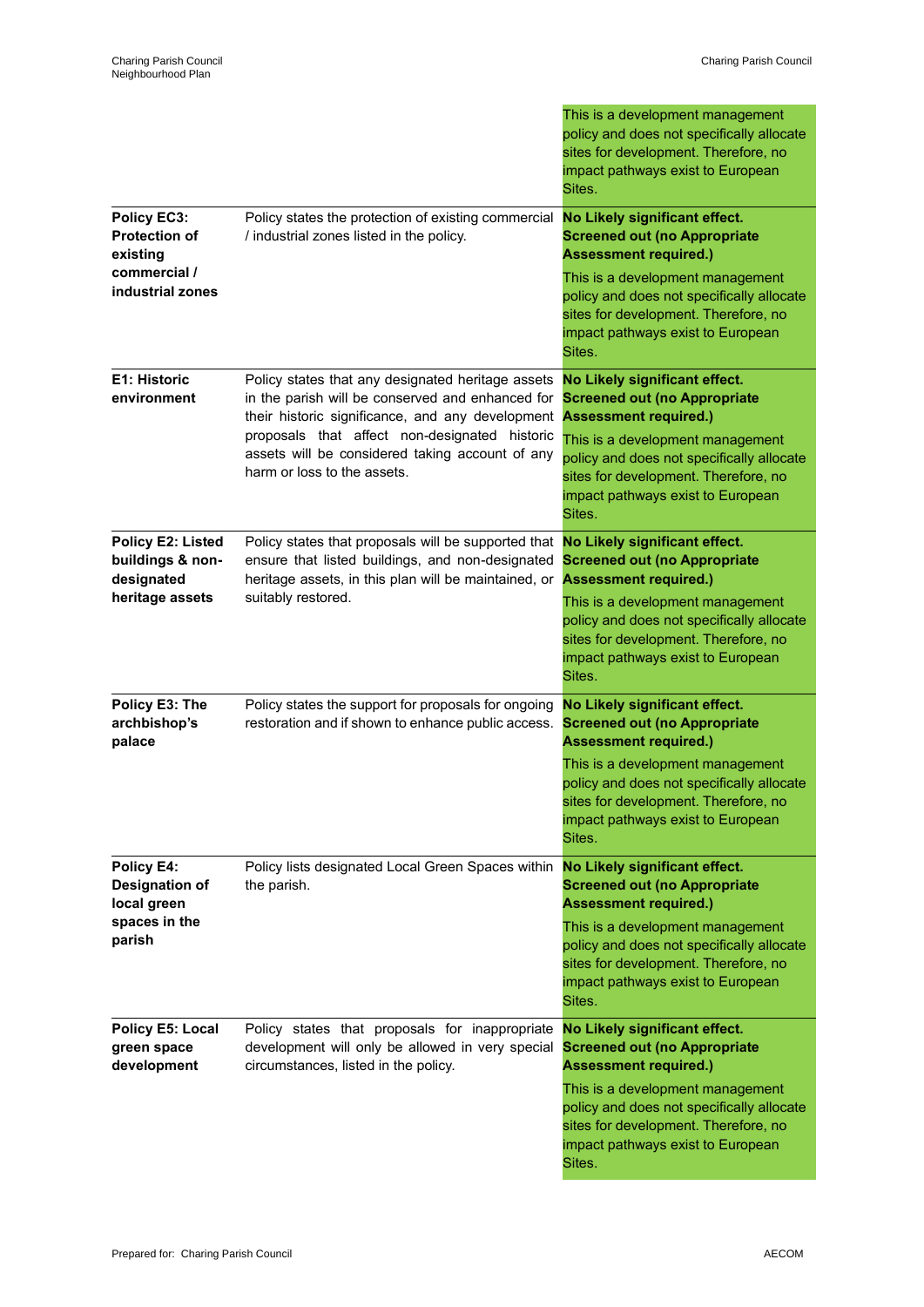|                                                                                     |                                                                                                                                                                                                                                                                                              | This is a development management<br>policy and does not specifically allocate<br>sites for development. Therefore, no<br>impact pathways exist to European<br>Sites.                                                                                                         |
|-------------------------------------------------------------------------------------|----------------------------------------------------------------------------------------------------------------------------------------------------------------------------------------------------------------------------------------------------------------------------------------------|------------------------------------------------------------------------------------------------------------------------------------------------------------------------------------------------------------------------------------------------------------------------------|
| Policy EC3:<br><b>Protection of</b><br>existing<br>commercial /<br>industrial zones | Policy states the protection of existing commercial<br>/ industrial zones listed in the policy.                                                                                                                                                                                              | No Likely significant effect.<br><b>Screened out (no Appropriate</b><br><b>Assessment required.)</b><br>This is a development management<br>policy and does not specifically allocate<br>sites for development. Therefore, no<br>impact pathways exist to European<br>Sites. |
| E1: Historic<br>environment                                                         | Policy states that any designated heritage assets<br>in the parish will be conserved and enhanced for<br>their historic significance, and any development<br>proposals that affect non-designated historic<br>assets will be considered taking account of any<br>harm or loss to the assets. | No Likely significant effect.<br><b>Screened out (no Appropriate</b><br><b>Assessment required.)</b><br>This is a development management<br>policy and does not specifically allocate<br>sites for development. Therefore, no<br>impact pathways exist to European<br>Sites. |
| Policy E2: Listed<br>buildings & non-<br>designated<br>heritage assets              | Policy states that proposals will be supported that<br>ensure that listed buildings, and non-designated<br>heritage assets, in this plan will be maintained, or<br>suitably restored.                                                                                                        | No Likely significant effect.<br><b>Screened out (no Appropriate</b><br><b>Assessment required.)</b><br>This is a development management<br>policy and does not specifically allocate<br>sites for development. Therefore, no<br>impact pathways exist to European<br>Sites. |
| Policy E3: The<br>archbishop's<br>palace                                            | Policy states the support for proposals for ongoing<br>restoration and if shown to enhance public access.                                                                                                                                                                                    | No Likely significant effect.<br><b>Screened out (no Appropriate</b><br><b>Assessment required.)</b><br>This is a development management<br>policy and does not specifically allocate<br>sites for development. Therefore, no<br>impact pathways exist to European<br>Sites. |
| Policy E4:<br><b>Designation of</b><br>local green<br>spaces in the<br>parish       | Policy lists designated Local Green Spaces within<br>the parish.                                                                                                                                                                                                                             | No Likely significant effect.<br><b>Screened out (no Appropriate</b><br><b>Assessment required.)</b><br>This is a development management<br>policy and does not specifically allocate<br>sites for development. Therefore, no<br>impact pathways exist to European<br>Sites. |
| Policy E5: Local<br>green space<br>development                                      | Policy states that proposals for inappropriate<br>development will only be allowed in very special<br>circumstances, listed in the policy.                                                                                                                                                   | No Likely significant effect.<br><b>Screened out (no Appropriate</b><br><b>Assessment required.)</b><br>This is a development management<br>policy and does not specifically allocate<br>sites for development. Therefore, no<br>impact pathways exist to European<br>Sites. |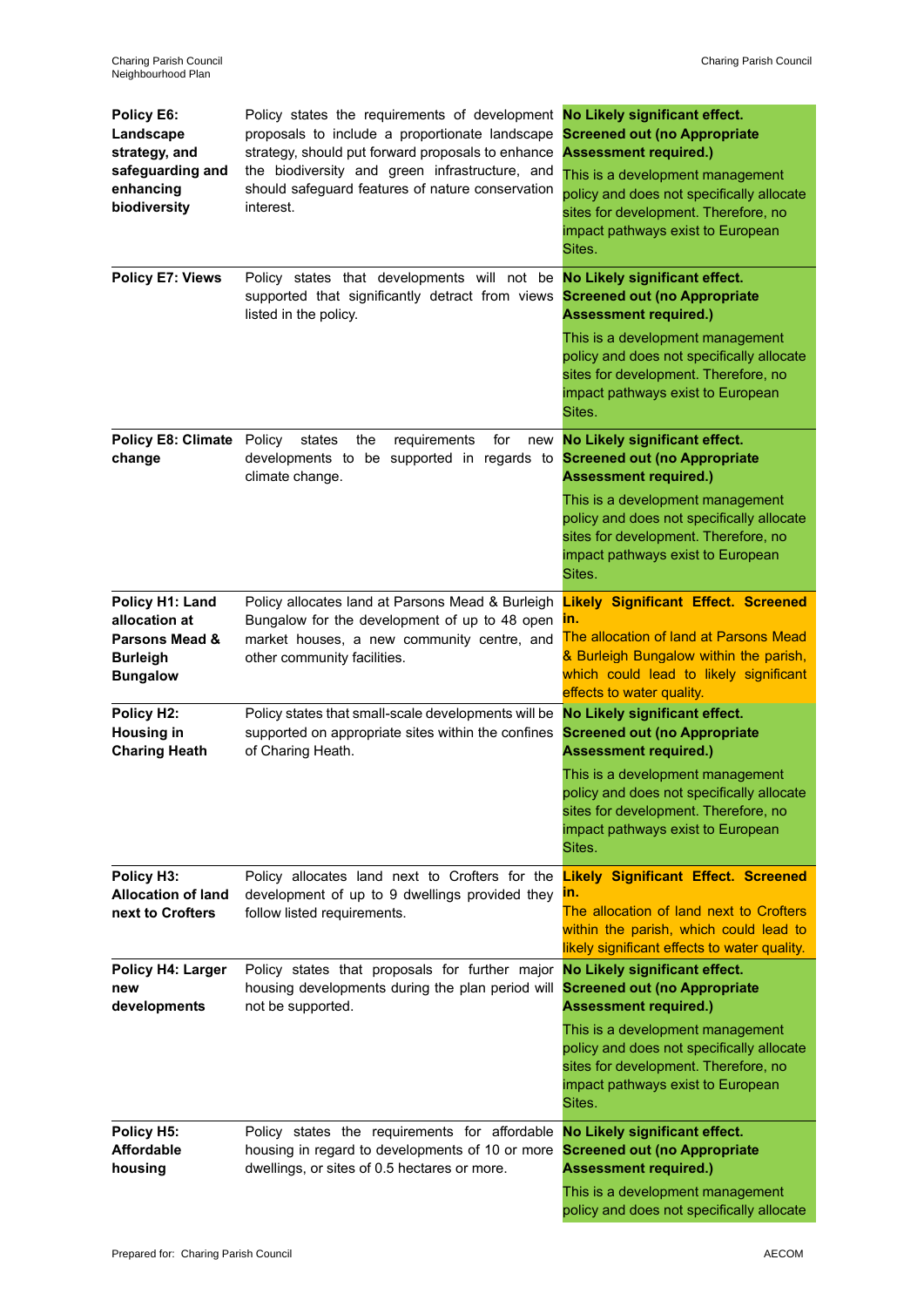| Policy E6:<br>Landscape<br>strategy, and<br>safeguarding and<br>enhancing<br>biodiversity           | Policy states the requirements of development<br>proposals to include a proportionate landscape<br>strategy, should put forward proposals to enhance<br>the biodiversity and green infrastructure, and<br>should safeguard features of nature conservation<br>interest. | No Likely significant effect.<br><b>Screened out (no Appropriate</b><br><b>Assessment required.)</b><br>This is a development management<br>policy and does not specifically allocate<br>sites for development. Therefore, no<br>impact pathways exist to European<br>Sites. |
|-----------------------------------------------------------------------------------------------------|-------------------------------------------------------------------------------------------------------------------------------------------------------------------------------------------------------------------------------------------------------------------------|------------------------------------------------------------------------------------------------------------------------------------------------------------------------------------------------------------------------------------------------------------------------------|
| Policy E7: Views                                                                                    | Policy states that developments will not be <b>No Likely significant effect.</b><br>supported that significantly detract from views<br>listed in the policy.                                                                                                            | <b>Screened out (no Appropriate</b><br><b>Assessment required.)</b><br>This is a development management<br>policy and does not specifically allocate<br>sites for development. Therefore, no<br>impact pathways exist to European<br>Sites.                                  |
| <b>Policy E8: Climate</b><br>change                                                                 | Policy<br>requirements<br>states<br>the<br>for<br>new<br>developments to be supported in regards to<br>climate change.                                                                                                                                                  | No Likely significant effect.<br><b>Screened out (no Appropriate</b><br><b>Assessment required.)</b><br>This is a development management<br>policy and does not specifically allocate<br>sites for development. Therefore, no<br>impact pathways exist to European<br>Sites. |
| Policy H1: Land<br>allocation at<br><b>Parsons Mead &amp;</b><br><b>Burleigh</b><br><b>Bungalow</b> | Policy allocates land at Parsons Mead & Burleigh<br>Bungalow for the development of up to 48 open<br>market houses, a new community centre, and<br>other community facilities.                                                                                          | <b>Likely Significant Effect. Screened</b><br>ın.<br>The allocation of land at Parsons Mead<br>& Burleigh Bungalow within the parish,<br>which could lead to likely significant<br>effects to water quality.                                                                 |
| Policy H2:<br><b>Housing in</b><br><b>Charing Heath</b>                                             | Policy states that small-scale developments will be<br>supported on appropriate sites within the confines<br>of Charing Heath.                                                                                                                                          | No Likely significant effect.<br><b>Screened out (no Appropriate</b><br><b>Assessment required.)</b><br>This is a development management<br>policy and does not specifically allocate<br>sites for development. Therefore, no<br>impact pathways exist to European<br>Sites. |
| Policy H3:<br><b>Allocation of land</b><br>next to Crofters                                         | Policy allocates land next to Crofters for the<br>development of up to 9 dwellings provided they<br>follow listed requirements.                                                                                                                                         | <b>Likely Significant Effect. Screened</b><br>m.<br>The allocation of land next to Crofters<br>within the parish, which could lead to<br>likely significant effects to water quality.                                                                                        |
| Policy H4: Larger<br>new<br>developments                                                            | Policy states that proposals for further major<br>housing developments during the plan period will<br>not be supported.                                                                                                                                                 | No Likely significant effect.<br><b>Screened out (no Appropriate</b><br><b>Assessment required.)</b><br>This is a development management<br>policy and does not specifically allocate<br>sites for development. Therefore, no<br>impact pathways exist to European<br>Sites. |
| Policy H5:<br><b>Affordable</b><br>housing                                                          | Policy states the requirements for affordable<br>housing in regard to developments of 10 or more<br>dwellings, or sites of 0.5 hectares or more.                                                                                                                        | No Likely significant effect.<br><b>Screened out (no Appropriate</b><br><b>Assessment required.)</b><br>This is a development management<br>policy and does not specifically allocate                                                                                        |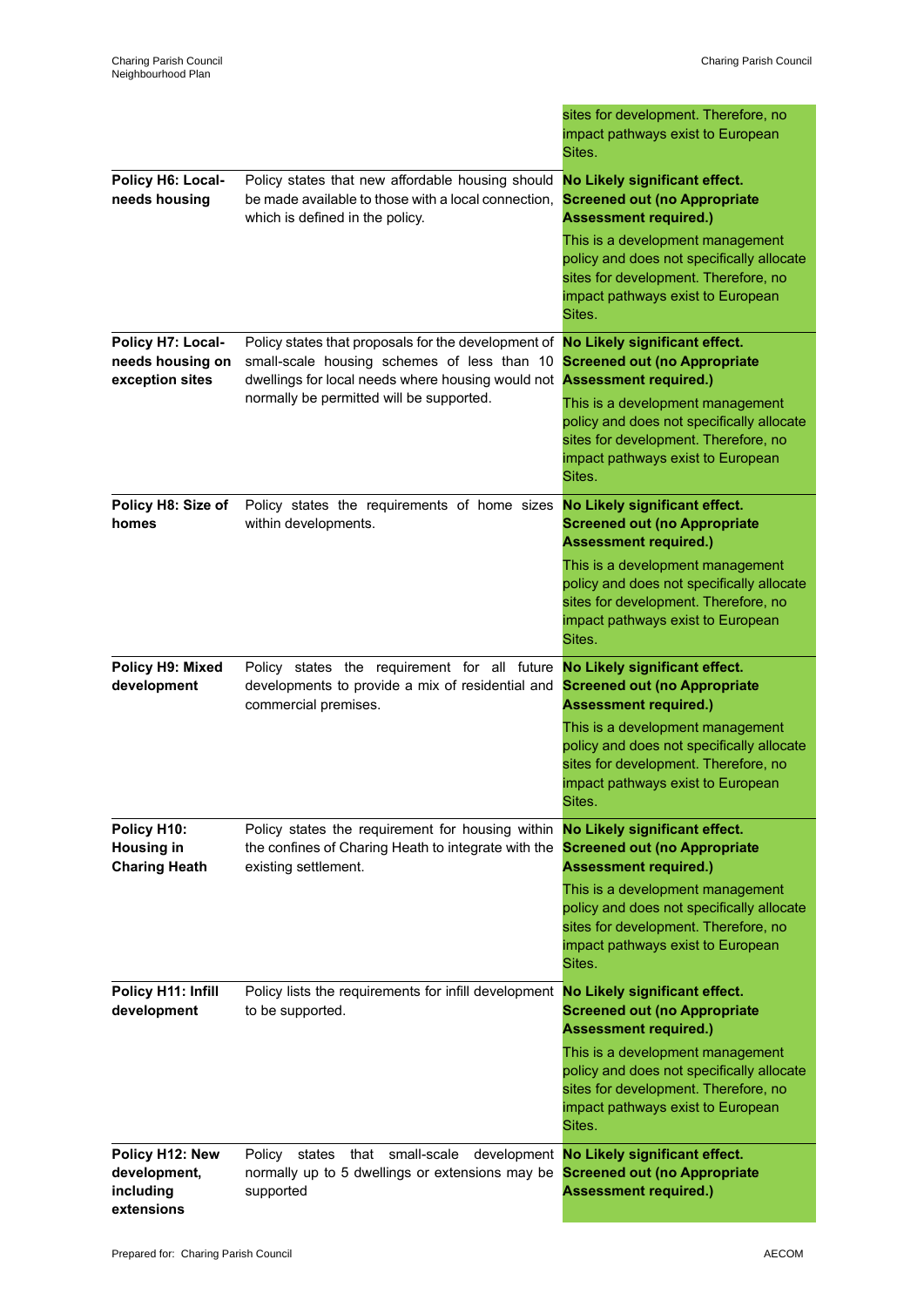|                                                            |                                                                                                                                                         | sites for development. Therefore, no<br>impact pathways exist to European<br>Sites.                                                                                  |
|------------------------------------------------------------|---------------------------------------------------------------------------------------------------------------------------------------------------------|----------------------------------------------------------------------------------------------------------------------------------------------------------------------|
| Policy H6: Local-<br>needs housing                         | Policy states that new affordable housing should<br>be made available to those with a local connection.<br>which is defined in the policy.              | No Likely significant effect.<br><b>Screened out (no Appropriate</b><br><b>Assessment required.)</b>                                                                 |
|                                                            |                                                                                                                                                         | This is a development management<br>policy and does not specifically allocate<br>sites for development. Therefore, no<br>impact pathways exist to European<br>Sites. |
| Policy H7: Local-<br>needs housing on<br>exception sites   | Policy states that proposals for the development of<br>small-scale housing schemes of less than 10<br>dwellings for local needs where housing would not | No Likely significant effect.<br><b>Screened out (no Appropriate</b><br><b>Assessment required.)</b>                                                                 |
|                                                            | normally be permitted will be supported.                                                                                                                | This is a development management<br>policy and does not specifically allocate<br>sites for development. Therefore, no<br>impact pathways exist to European<br>Sites. |
| Policy H8: Size of<br>homes                                | Policy states the requirements of home sizes<br>within developments.                                                                                    | No Likely significant effect.<br><b>Screened out (no Appropriate</b><br><b>Assessment required.)</b>                                                                 |
|                                                            |                                                                                                                                                         | This is a development management<br>policy and does not specifically allocate<br>sites for development. Therefore, no<br>impact pathways exist to European<br>Sites. |
| Policy H9: Mixed<br>development                            | Policy states the requirement for all future<br>developments to provide a mix of residential and<br>commercial premises.                                | No Likely significant effect.<br><b>Screened out (no Appropriate</b><br><b>Assessment required.)</b>                                                                 |
|                                                            |                                                                                                                                                         | This is a development management<br>policy and does not specifically allocate<br>sites for development. Therefore, no<br>impact pathways exist to European<br>Sites. |
| Policy H10:<br><b>Housing in</b><br><b>Charing Heath</b>   | Policy states the requirement for housing within<br>the confines of Charing Heath to integrate with the<br>existing settlement.                         | No Likely significant effect.<br><b>Screened out (no Appropriate</b><br><b>Assessment required.)</b>                                                                 |
|                                                            |                                                                                                                                                         | This is a development management<br>policy and does not specifically allocate<br>sites for development. Therefore, no<br>impact pathways exist to European<br>Sites. |
| Policy H11: Infill<br>development                          | Policy lists the requirements for infill development<br>to be supported.                                                                                | No Likely significant effect.<br><b>Screened out (no Appropriate</b><br><b>Assessment required.)</b>                                                                 |
|                                                            |                                                                                                                                                         | This is a development management<br>policy and does not specifically allocate<br>sites for development. Therefore, no<br>impact pathways exist to European<br>Sites. |
| Policy H12: New<br>development,<br>including<br>extensions | that small-scale<br>states<br>development<br>Policy<br>normally up to 5 dwellings or extensions may be<br>supported                                     | No Likely significant effect.<br><b>Screened out (no Appropriate</b><br><b>Assessment required.)</b>                                                                 |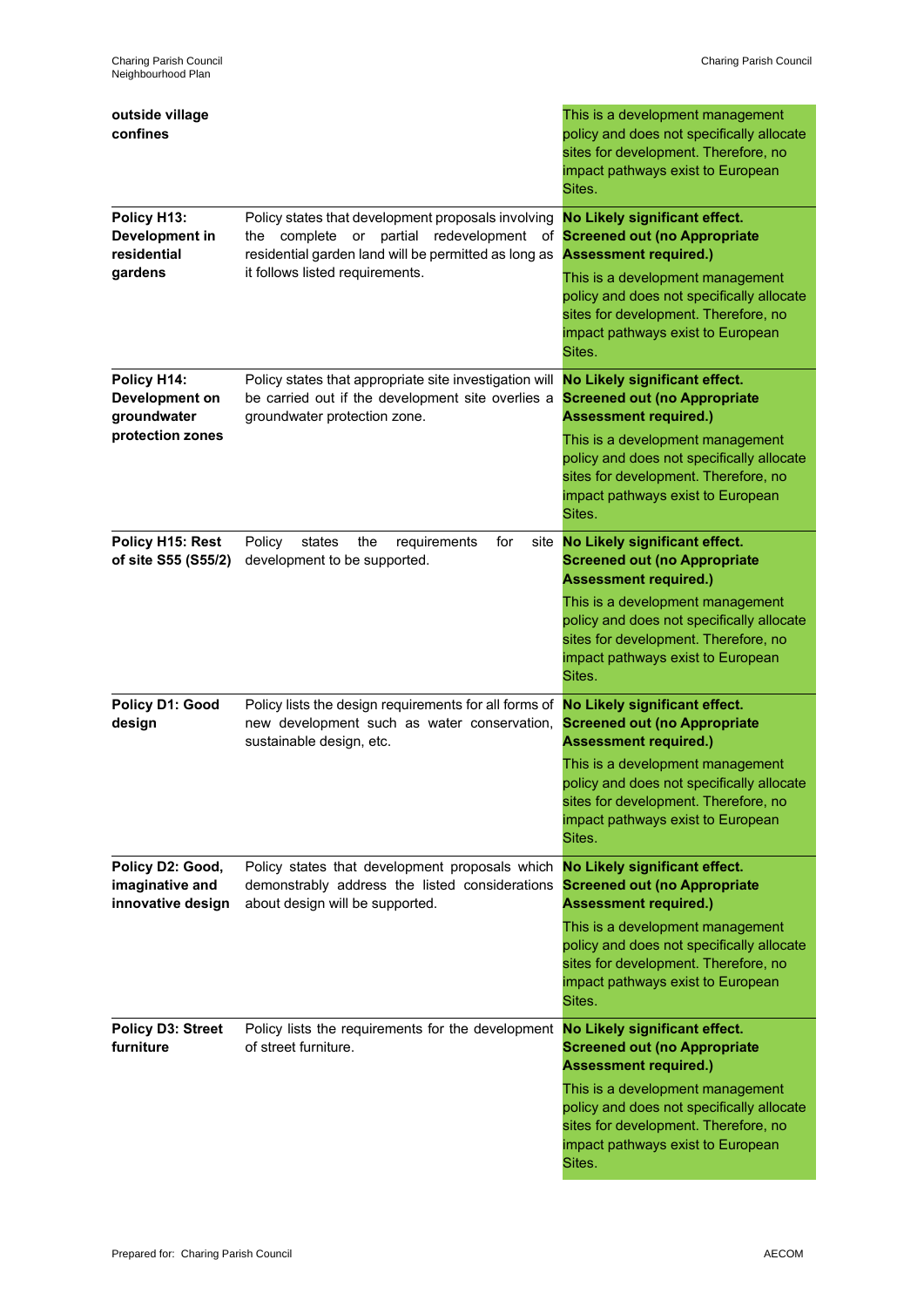| outside village                                                  |                                                                                                                                                                                                    | This is a development management                                                                                                                                                                                                                                                  |
|------------------------------------------------------------------|----------------------------------------------------------------------------------------------------------------------------------------------------------------------------------------------------|-----------------------------------------------------------------------------------------------------------------------------------------------------------------------------------------------------------------------------------------------------------------------------------|
| confines                                                         |                                                                                                                                                                                                    | policy and does not specifically allocate<br>sites for development. Therefore, no<br>impact pathways exist to European<br>Sites.                                                                                                                                                  |
| Policy H13:<br>Development in<br>residential<br>gardens          | Policy states that development proposals involving<br>partial redevelopment<br>the complete<br>or<br>of<br>residential garden land will be permitted as long as<br>it follows listed requirements. | No Likely significant effect.<br><b>Screened out (no Appropriate</b><br><b>Assessment required.)</b><br>This is a development management<br>policy and does not specifically allocate<br>sites for development. Therefore, no<br>impact pathways exist to European<br>Sites.      |
| Policy H14:<br>Development on<br>groundwater<br>protection zones | Policy states that appropriate site investigation will<br>be carried out if the development site overlies a<br>groundwater protection zone.                                                        | No Likely significant effect.<br><b>Screened out (no Appropriate</b><br><b>Assessment required.)</b><br>This is a development management<br>policy and does not specifically allocate<br>sites for development. Therefore, no<br>impact pathways exist to European<br>Sites.      |
| Policy H15: Rest<br>of site S55 (S55/2)                          | Policy<br>states<br>the<br>requirements<br>for<br>development to be supported.                                                                                                                     | site No Likely significant effect.<br><b>Screened out (no Appropriate</b><br><b>Assessment required.)</b><br>This is a development management<br>policy and does not specifically allocate<br>sites for development. Therefore, no<br>impact pathways exist to European<br>Sites. |
| Policy D1: Good<br>design                                        | Policy lists the design requirements for all forms of<br>new development such as water conservation,<br>sustainable design, etc.                                                                   | No Likely significant effect.<br><b>Screened out (no Appropriate</b><br><b>Assessment required.)</b><br>This is a development management<br>policy and does not specifically allocate<br>sites for development. Therefore, no<br>impact pathways exist to European<br>Sites.      |
| Policy D2: Good,<br>imaginative and<br>innovative design         | Policy states that development proposals which<br>demonstrably address the listed considerations<br>about design will be supported.                                                                | No Likely significant effect.<br><b>Screened out (no Appropriate</b><br><b>Assessment required.)</b><br>This is a development management<br>policy and does not specifically allocate<br>sites for development. Therefore, no<br>impact pathways exist to European<br>Sites.      |
| <b>Policy D3: Street</b><br>furniture                            | Policy lists the requirements for the development No Likely significant effect.<br>of street furniture.                                                                                            | <b>Screened out (no Appropriate</b><br><b>Assessment required.)</b><br>This is a development management<br>policy and does not specifically allocate<br>sites for development. Therefore, no<br>impact pathways exist to European<br>Sites.                                       |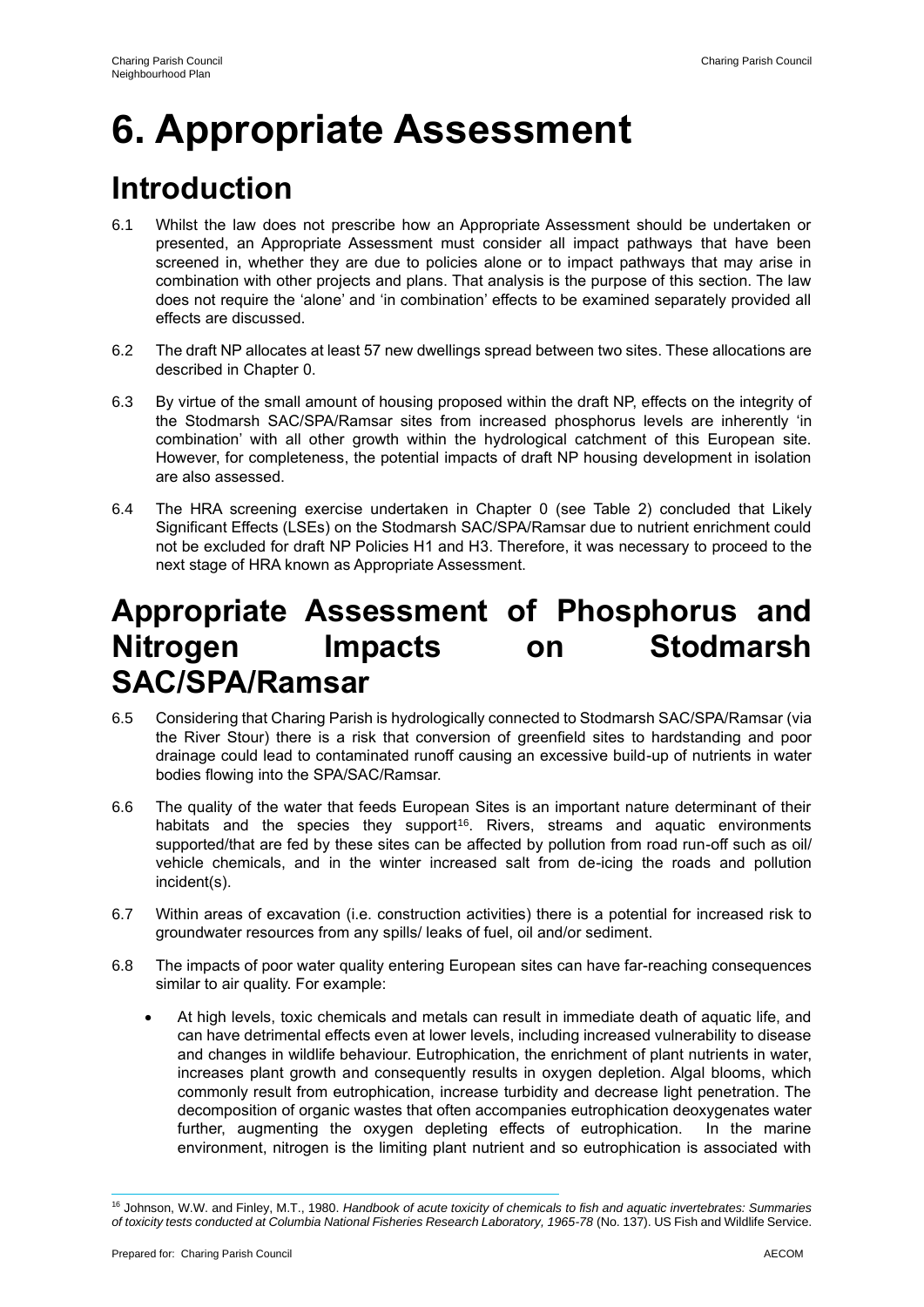# **6. Appropriate Assessment**

# **Introduction**

- 6.1 Whilst the law does not prescribe how an Appropriate Assessment should be undertaken or presented, an Appropriate Assessment must consider all impact pathways that have been screened in, whether they are due to policies alone or to impact pathways that may arise in combination with other projects and plans. That analysis is the purpose of this section. The law does not require the 'alone' and 'in combination' effects to be examined separately provided all effects are discussed.
- 6.2 The draft NP allocates at least 57 new dwellings spread between two sites. These allocations are described in Chapter 0.
- 6.3 By virtue of the small amount of housing proposed within the draft NP, effects on the integrity of the Stodmarsh SAC/SPA/Ramsar sites from increased phosphorus levels are inherently 'in combination' with all other growth within the hydrological catchment of this European site. However, for completeness, the potential impacts of draft NP housing development in isolation are also assessed.
- 6.4 The HRA screening exercise undertaken in Chapter 0 (see Table 2) concluded that Likely Significant Effects (LSEs) on the Stodmarsh SAC/SPA/Ramsar due to nutrient enrichment could not be excluded for draft NP Policies H1 and H3. Therefore, it was necessary to proceed to the next stage of HRA known as Appropriate Assessment.

## **Appropriate Assessment of Phosphorus and Nitrogen Impacts on Stodmarsh SAC/SPA/Ramsar**

- 6.5 Considering that Charing Parish is hydrologically connected to Stodmarsh SAC/SPA/Ramsar (via the River Stour) there is a risk that conversion of greenfield sites to hardstanding and poor drainage could lead to contaminated runoff causing an excessive build-up of nutrients in water bodies flowing into the SPA/SAC/Ramsar.
- 6.6 The quality of the water that feeds European Sites is an important nature determinant of their habitats and the species they support<sup>16</sup>. Rivers, streams and aquatic environments supported/that are fed by these sites can be affected by pollution from road run-off such as oil/ vehicle chemicals, and in the winter increased salt from de-icing the roads and pollution incident(s).
- 6.7 Within areas of excavation (i.e. construction activities) there is a potential for increased risk to groundwater resources from any spills/ leaks of fuel, oil and/or sediment.
- 6.8 The impacts of poor water quality entering European sites can have far-reaching consequences similar to air quality. For example:
	- At high levels, toxic chemicals and metals can result in immediate death of aquatic life, and can have detrimental effects even at lower levels, including increased vulnerability to disease and changes in wildlife behaviour. Eutrophication, the enrichment of plant nutrients in water, increases plant growth and consequently results in oxygen depletion. Algal blooms, which commonly result from eutrophication, increase turbidity and decrease light penetration. The decomposition of organic wastes that often accompanies eutrophication deoxygenates water further, augmenting the oxygen depleting effects of eutrophication. In the marine environment, nitrogen is the limiting plant nutrient and so eutrophication is associated with

<sup>16</sup> Johnson, W.W. and Finley, M.T., 1980. *Handbook of acute toxicity of chemicals to fish and aquatic invertebrates: Summaries of toxicity tests conducted at Columbia National Fisheries Research Laboratory, 1965-78* (No. 137). US Fish and Wildlife Service.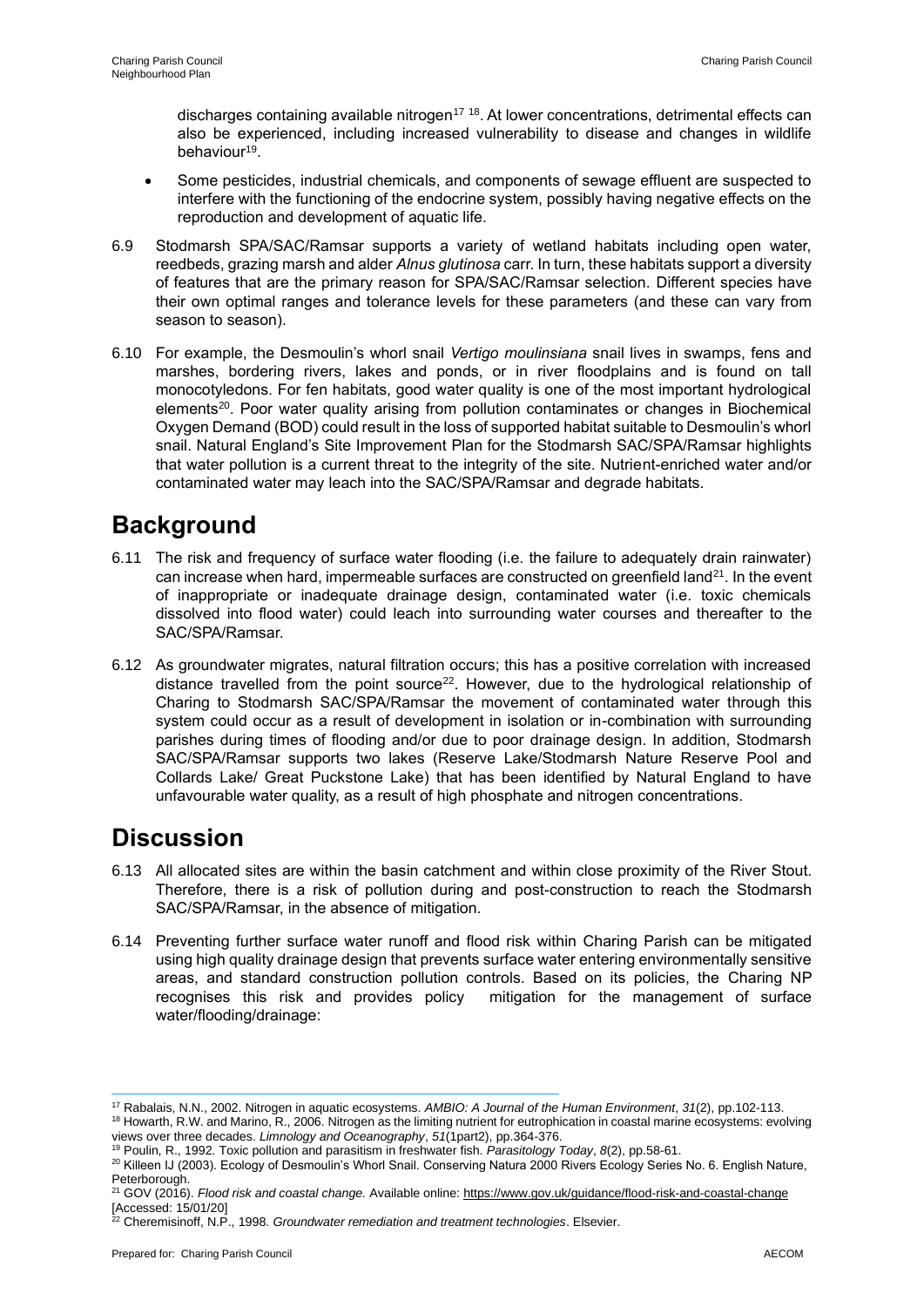discharges containing available nitrogen<sup>17 18</sup>. At lower concentrations, detrimental effects can also be experienced, including increased vulnerability to disease and changes in wildlife behaviour<sup>19</sup>.

- Some pesticides, industrial chemicals, and components of sewage effluent are suspected to interfere with the functioning of the endocrine system, possibly having negative effects on the reproduction and development of aquatic life.
- 6.9 Stodmarsh SPA/SAC/Ramsar supports a variety of wetland habitats including open water, reedbeds, grazing marsh and alder *Alnus glutinosa* carr. In turn, these habitats support a diversity of features that are the primary reason for SPA/SAC/Ramsar selection. Different species have their own optimal ranges and tolerance levels for these parameters (and these can vary from season to season).
- 6.10 For example, the Desmoulin's whorl snail *Vertigo moulinsiana* snail lives in swamps, fens and marshes, bordering rivers, lakes and ponds, or in river floodplains and is found on tall monocotyledons. For fen habitats, good water quality is one of the most important hydrological elements<sup>20</sup>. Poor water quality arising from pollution contaminates or changes in Biochemical Oxygen Demand (BOD) could result in the loss of supported habitat suitable to Desmoulin's whorl snail. Natural England's Site Improvement Plan for the Stodmarsh SAC/SPA/Ramsar highlights that water pollution is a current threat to the integrity of the site. Nutrient-enriched water and/or contaminated water may leach into the SAC/SPA/Ramsar and degrade habitats.

## **Background**

- 6.11 The risk and frequency of surface water flooding (i.e. the failure to adequately drain rainwater) can increase when hard, impermeable surfaces are constructed on greenfield land<sup>21</sup>. In the event of inappropriate or inadequate drainage design, contaminated water (i.e. toxic chemicals dissolved into flood water) could leach into surrounding water courses and thereafter to the SAC/SPA/Ramsar.
- 6.12 As groundwater migrates, natural filtration occurs; this has a positive correlation with increased distance travelled from the point source<sup>22</sup>. However, due to the hydrological relationship of Charing to Stodmarsh SAC/SPA/Ramsar the movement of contaminated water through this system could occur as a result of development in isolation or in-combination with surrounding parishes during times of flooding and/or due to poor drainage design. In addition, Stodmarsh SAC/SPA/Ramsar supports two lakes (Reserve Lake/Stodmarsh Nature Reserve Pool and Collards Lake/ Great Puckstone Lake) that has been identified by Natural England to have unfavourable water quality, as a result of high phosphate and nitrogen concentrations.

### **Discussion**

- 6.13 All allocated sites are within the basin catchment and within close proximity of the River Stout. Therefore, there is a risk of pollution during and post-construction to reach the Stodmarsh SAC/SPA/Ramsar, in the absence of mitigation.
- 6.14 Preventing further surface water runoff and flood risk within Charing Parish can be mitigated using high quality drainage design that prevents surface water entering environmentally sensitive areas, and standard construction pollution controls. Based on its policies, the Charing NP recognises this risk and provides policy mitigation for the management of surface water/flooding/drainage:

<sup>17</sup> Rabalais, N.N., 2002. Nitrogen in aquatic ecosystems. *AMBIO: A Journal of the Human Environment*, *31*(2), pp.102-113.

<sup>18</sup> Howarth, R.W. and Marino, R., 2006. Nitrogen as the limiting nutrient for eutrophication in coastal marine ecosystems: evolving views over three decades. *Limnology and Oceanography*, *51*(1part2), pp.364-376.

<sup>19</sup> Poulin, R., 1992. Toxic pollution and parasitism in freshwater fish. *Parasitology Today*, *8*(2), pp.58-61.

<sup>&</sup>lt;sup>20</sup> Killeen IJ (2003). Ecology of Desmoulin's Whorl Snail. Conserving Natura 2000 Rivers Ecology Series No. 6. English Nature, Peterborough.

<sup>21</sup> GOV (2016). *Flood risk and coastal change.* Available online: https://www.gov.uk/guidance/flood-risk-and-coastal-change [Accessed: 15/01/20]

<sup>22</sup> Cheremisinoff, N.P., 1998. *Groundwater remediation and treatment technologies*. Elsevier.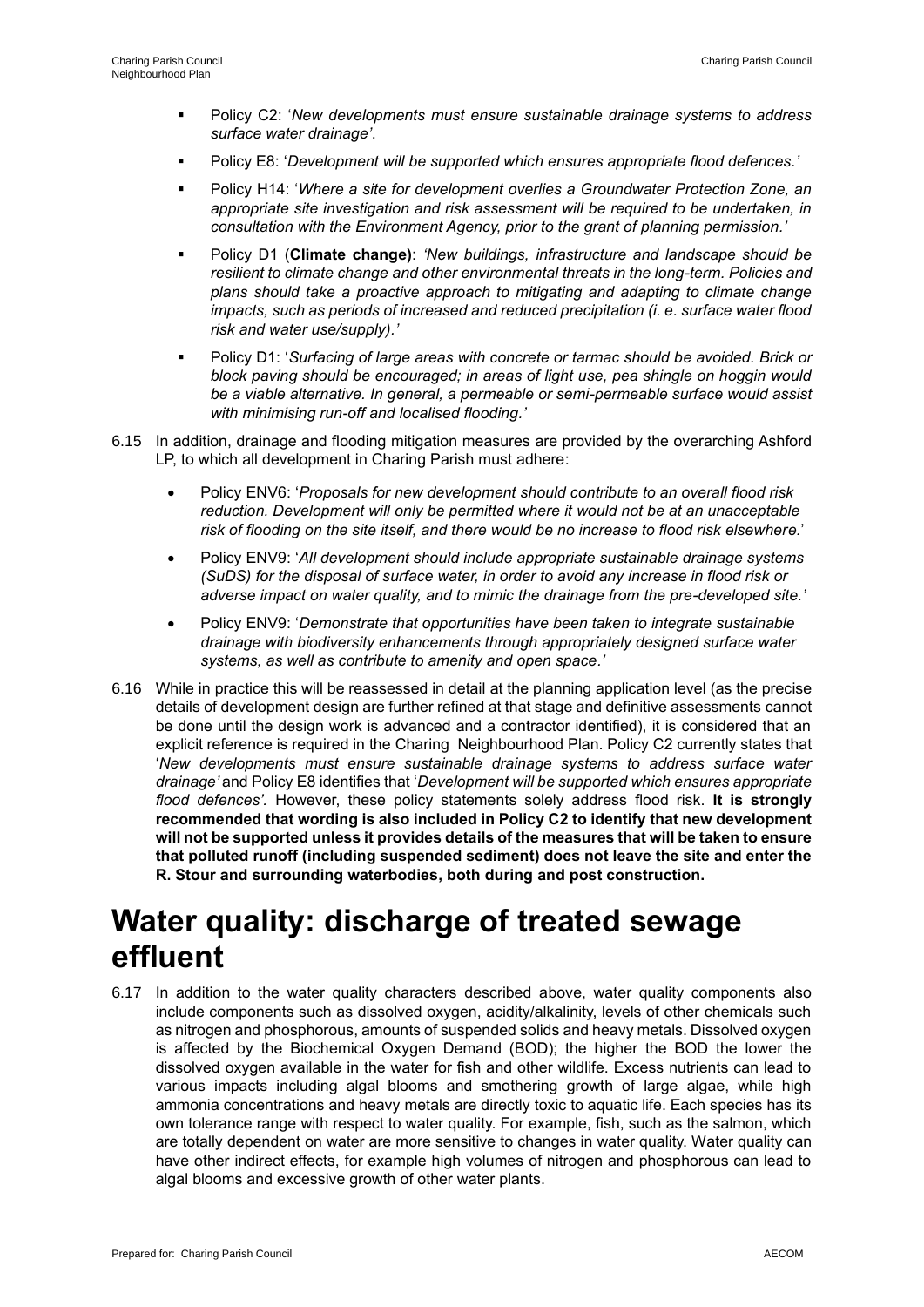- Policy C2: '*New developments must ensure sustainable drainage systems to address surface water drainage'*.
- Policy E8: '*Development will be supported which ensures appropriate flood defences.'*
- Policy H14: 'Where a site for development overlies a Groundwater Protection Zone, an *appropriate site investigation and risk assessment will be required to be undertaken, in consultation with the Environment Agency, prior to the grant of planning permission.'*
- Policy D1 (**Climate change)**: *'New buildings, infrastructure and landscape should be resilient to climate change and other environmental threats in the long-term. Policies and plans should take a proactive approach to mitigating and adapting to climate change impacts, such as periods of increased and reduced precipitation (i. e. surface water flood risk and water use/supply).'*
- Policy D1: '*Surfacing of large areas with concrete or tarmac should be avoided. Brick or block paving should be encouraged; in areas of light use, pea shingle on hoggin would be a viable alternative. In general, a permeable or semi-permeable surface would assist with minimising run-off and localised flooding.'*
- 6.15 In addition, drainage and flooding mitigation measures are provided by the overarching Ashford LP, to which all development in Charing Parish must adhere:
	- Policy ENV6: '*Proposals for new development should contribute to an overall flood risk reduction. Development will only be permitted where it would not be at an unacceptable risk of flooding on the site itself, and there would be no increase to flood risk elsewhere.*'
	- Policy ENV9: '*All development should include appropriate sustainable drainage systems (SuDS) for the disposal of surface water, in order to avoid any increase in flood risk or adverse impact on water quality, and to mimic the drainage from the pre-developed site.'*
	- Policy ENV9: '*Demonstrate that opportunities have been taken to integrate sustainable drainage with biodiversity enhancements through appropriately designed surface water systems, as well as contribute to amenity and open space.'*
- 6.16 While in practice this will be reassessed in detail at the planning application level (as the precise details of development design are further refined at that stage and definitive assessments cannot be done until the design work is advanced and a contractor identified), it is considered that an explicit reference is required in the Charing Neighbourhood Plan. Policy C2 currently states that '*New developments must ensure sustainable drainage systems to address surface water drainage'* and Policy E8 identifies that '*Development will be supported which ensures appropriate flood defences'.* However, these policy statements solely address flood risk. **It is strongly recommended that wording is also included in Policy C2 to identify that new development will not be supported unless it provides details of the measures that will be taken to ensure that polluted runoff (including suspended sediment) does not leave the site and enter the R. Stour and surrounding waterbodies, both during and post construction.**

## **Water quality: discharge of treated sewage effluent**

6.17 In addition to the water quality characters described above, water quality components also include components such as dissolved oxygen, acidity/alkalinity, levels of other chemicals such as nitrogen and phosphorous, amounts of suspended solids and heavy metals. Dissolved oxygen is affected by the Biochemical Oxygen Demand (BOD); the higher the BOD the lower the dissolved oxygen available in the water for fish and other wildlife. Excess nutrients can lead to various impacts including algal blooms and smothering growth of large algae, while high ammonia concentrations and heavy metals are directly toxic to aquatic life. Each species has its own tolerance range with respect to water quality. For example, fish, such as the salmon, which are totally dependent on water are more sensitive to changes in water quality. Water quality can have other indirect effects, for example high volumes of nitrogen and phosphorous can lead to algal blooms and excessive growth of other water plants.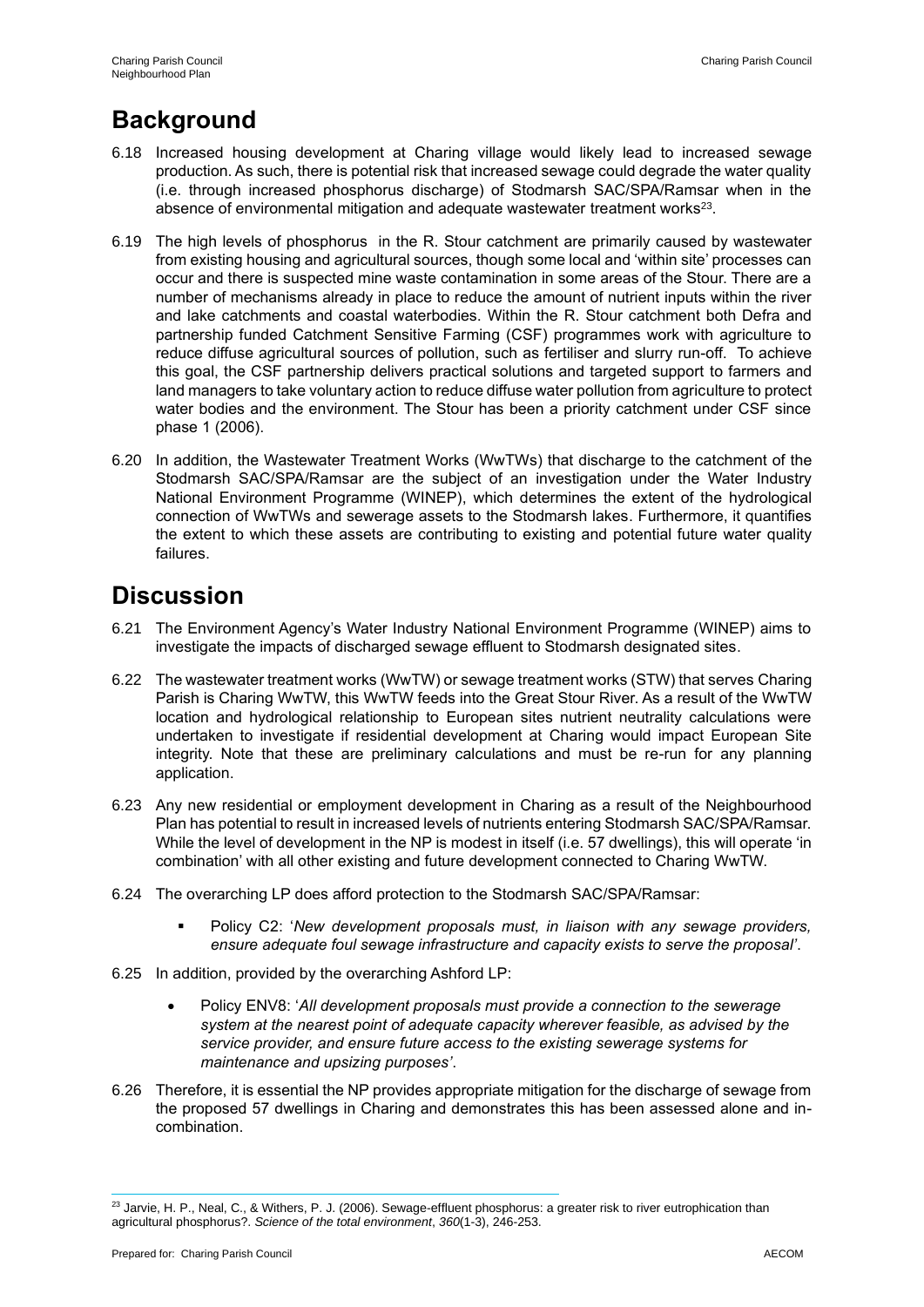### **Background**

- 6.18 Increased housing development at Charing village would likely lead to increased sewage production. As such, there is potential risk that increased sewage could degrade the water quality (i.e. through increased phosphorus discharge) of Stodmarsh SAC/SPA/Ramsar when in the absence of environmental mitigation and adequate wastewater treatment works<sup>23</sup>.
- 6.19 The high levels of phosphorus in the R. Stour catchment are primarily caused by wastewater from existing housing and agricultural sources, though some local and 'within site' processes can occur and there is suspected mine waste contamination in some areas of the Stour. There are a number of mechanisms already in place to reduce the amount of nutrient inputs within the river and lake catchments and coastal waterbodies. Within the R. Stour catchment both Defra and partnership funded Catchment Sensitive Farming (CSF) programmes work with agriculture to reduce diffuse agricultural sources of pollution, such as fertiliser and slurry run-off. To achieve this goal, the CSF partnership delivers practical solutions and targeted support to farmers and land managers to take voluntary action to reduce diffuse water pollution from agriculture to protect water bodies and the environment. The Stour has been a priority catchment under CSF since phase 1 (2006).
- 6.20 In addition, the Wastewater Treatment Works (WwTWs) that discharge to the catchment of the Stodmarsh SAC/SPA/Ramsar are the subject of an investigation under the Water Industry National Environment Programme (WINEP), which determines the extent of the hydrological connection of WwTWs and sewerage assets to the Stodmarsh lakes. Furthermore, it quantifies the extent to which these assets are contributing to existing and potential future water quality failures.

### **Discussion**

- 6.21 The Environment Agency's Water Industry National Environment Programme (WINEP) aims to investigate the impacts of discharged sewage effluent to Stodmarsh designated sites.
- 6.22 The wastewater treatment works (WwTW) or sewage treatment works (STW) that serves Charing Parish is Charing WwTW, this WwTW feeds into the Great Stour River. As a result of the WwTW location and hydrological relationship to European sites nutrient neutrality calculations were undertaken to investigate if residential development at Charing would impact European Site integrity. Note that these are preliminary calculations and must be re-run for any planning application.
- 6.23 Any new residential or employment development in Charing as a result of the Neighbourhood Plan has potential to result in increased levels of nutrients entering Stodmarsh SAC/SPA/Ramsar. While the level of development in the NP is modest in itself (i.e. 57 dwellings), this will operate 'in combination' with all other existing and future development connected to Charing WwTW.
- 6.24 The overarching LP does afford protection to the Stodmarsh SAC/SPA/Ramsar:
	- Policy C2: 'New development proposals must, in liaison with any sewage providers, *ensure adequate foul sewage infrastructure and capacity exists to serve the proposal'*.
- 6.25 In addition, provided by the overarching Ashford LP:
	- Policy ENV8: '*All development proposals must provide a connection to the sewerage system at the nearest point of adequate capacity wherever feasible, as advised by the service provider, and ensure future access to the existing sewerage systems for maintenance and upsizing purposes'*.
- 6.26 Therefore, it is essential the NP provides appropriate mitigation for the discharge of sewage from the proposed 57 dwellings in Charing and demonstrates this has been assessed alone and incombination.

<sup>&</sup>lt;sup>23</sup> Jarvie, H. P., Neal, C., & Withers, P. J. (2006). Sewage-effluent phosphorus: a greater risk to river eutrophication than agricultural phosphorus?. *Science of the total environment*, *360*(1-3), 246-253.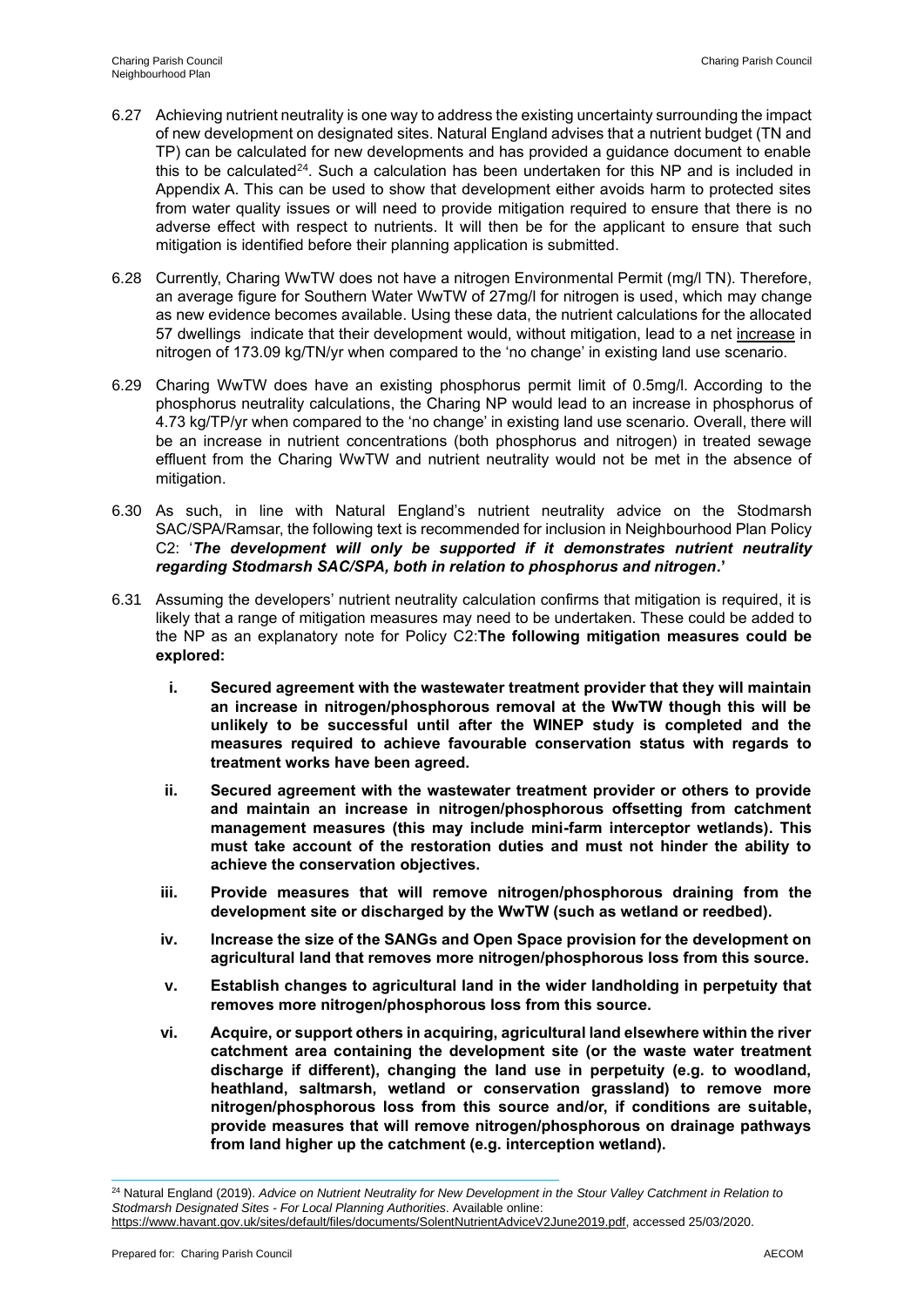- 6.27 Achieving nutrient neutrality is one way to address the existing uncertainty surrounding the impact of new development on designated sites. Natural England advises that a nutrient budget (TN and TP) can be calculated for new developments and has provided a guidance document to enable this to be calculated<sup>24</sup>. Such a calculation has been undertaken for this NP and is included in Appendix A. This can be used to show that development either avoids harm to protected sites from water quality issues or will need to provide mitigation required to ensure that there is no adverse effect with respect to nutrients. It will then be for the applicant to ensure that such mitigation is identified before their planning application is submitted.
- 6.28 Currently, Charing WwTW does not have a nitrogen Environmental Permit (mg/l TN). Therefore, an average figure for Southern Water WwTW of 27mg/l for nitrogen is used, which may change as new evidence becomes available. Using these data, the nutrient calculations for the allocated 57 dwellings indicate that their development would, without mitigation, lead to a net increase in nitrogen of 173.09 kg/TN/yr when compared to the 'no change' in existing land use scenario.
- 6.29 Charing WwTW does have an existing phosphorus permit limit of 0.5mg/l. According to the phosphorus neutrality calculations, the Charing NP would lead to an increase in phosphorus of 4.73 kg/TP/yr when compared to the 'no change' in existing land use scenario. Overall, there will be an increase in nutrient concentrations (both phosphorus and nitrogen) in treated sewage effluent from the Charing WwTW and nutrient neutrality would not be met in the absence of mitigation.
- 6.30 As such, in line with Natural England's nutrient neutrality advice on the Stodmarsh SAC/SPA/Ramsar, the following text is recommended for inclusion in Neighbourhood Plan Policy C2: '*The development will only be supported if it demonstrates nutrient neutrality regarding Stodmarsh SAC/SPA, both in relation to phosphorus and nitrogen.***'**
- 6.31 Assuming the developers' nutrient neutrality calculation confirms that mitigation is required, it is likely that a range of mitigation measures may need to be undertaken. These could be added to the NP as an explanatory note for Policy C2:**The following mitigation measures could be explored:**
	- **i. Secured agreement with the wastewater treatment provider that they will maintain an increase in nitrogen/phosphorous removal at the WwTW though this will be unlikely to be successful until after the WINEP study is completed and the measures required to achieve favourable conservation status with regards to treatment works have been agreed.**
	- **ii. Secured agreement with the wastewater treatment provider or others to provide and maintain an increase in nitrogen/phosphorous offsetting from catchment management measures (this may include mini-farm interceptor wetlands). This must take account of the restoration duties and must not hinder the ability to achieve the conservation objectives.**
	- **iii. Provide measures that will remove nitrogen/phosphorous draining from the development site or discharged by the WwTW (such as wetland or reedbed).**
	- **iv. Increase the size of the SANGs and Open Space provision for the development on agricultural land that removes more nitrogen/phosphorous loss from this source.**
	- **v. Establish changes to agricultural land in the wider landholding in perpetuity that removes more nitrogen/phosphorous loss from this source.**
	- **vi. Acquire, or support others in acquiring, agricultural land elsewhere within the river catchment area containing the development site (or the waste water treatment discharge if different), changing the land use in perpetuity (e.g. to woodland, heathland, saltmarsh, wetland or conservation grassland) to remove more nitrogen/phosphorous loss from this source and/or, if conditions are suitable, provide measures that will remove nitrogen/phosphorous on drainage pathways from land higher up the catchment (e.g. interception wetland).**

<sup>24</sup> Natural England (2019). *Advice on Nutrient Neutrality for New Development in the Stour Valley Catchment in Relation to Stodmarsh Designated Sites - For Local Planning Authorities*. Available online: https://www.havant.gov.uk/sites/default/files/documents/SolentNutrientAdviceV2June2019.pdf, accessed 25/03/2020.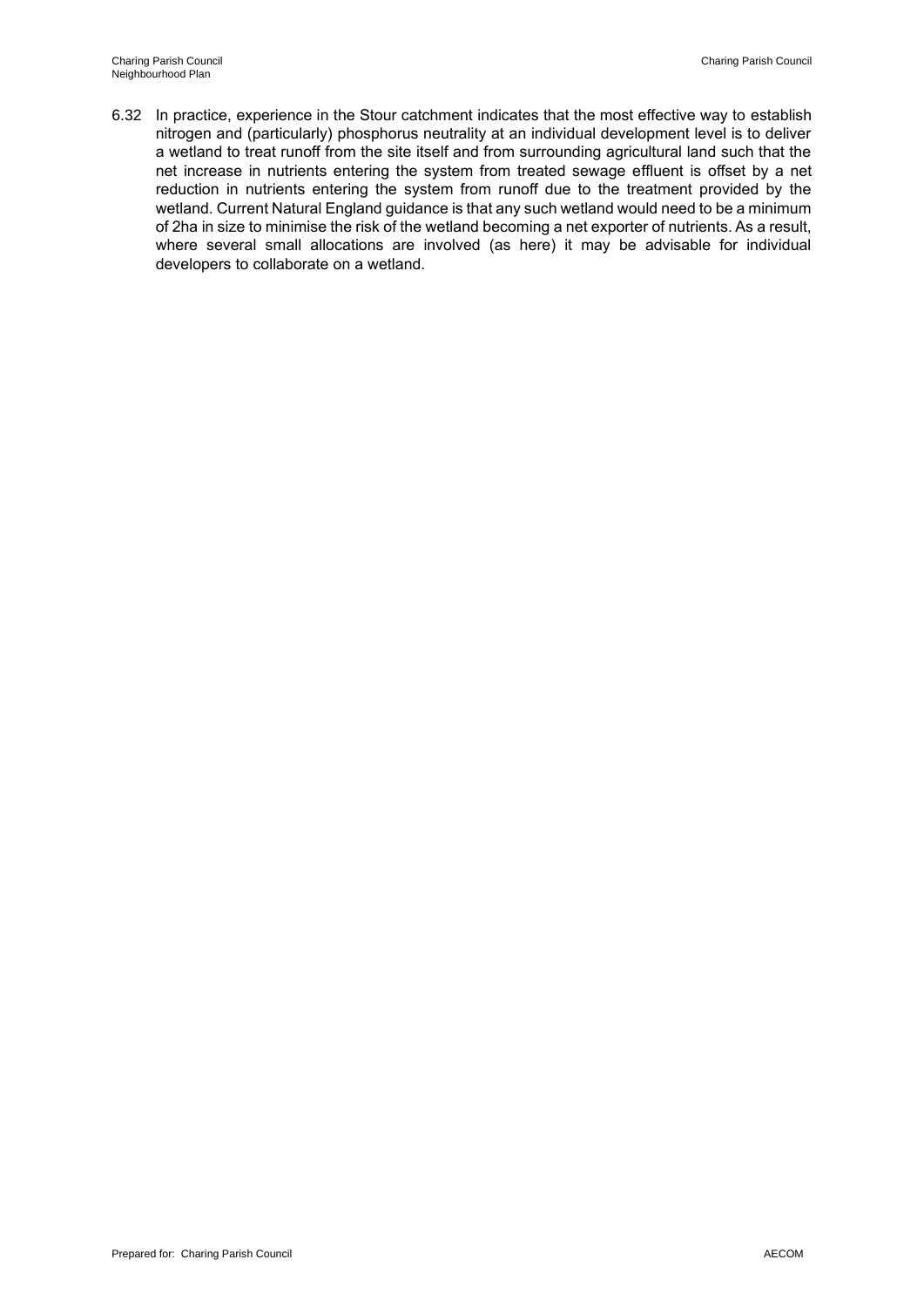6.32 In practice, experience in the Stour catchment indicates that the most effective way to establish nitrogen and (particularly) phosphorus neutrality at an individual development level is to deliver a wetland to treat runoff from the site itself and from surrounding agricultural land such that the net increase in nutrients entering the system from treated sewage effluent is offset by a net reduction in nutrients entering the system from runoff due to the treatment provided by the wetland. Current Natural England guidance is that any such wetland would need to be a minimum of 2ha in size to minimise the risk of the wetland becoming a net exporter of nutrients. As a result, where several small allocations are involved (as here) it may be advisable for individual developers to collaborate on a wetland.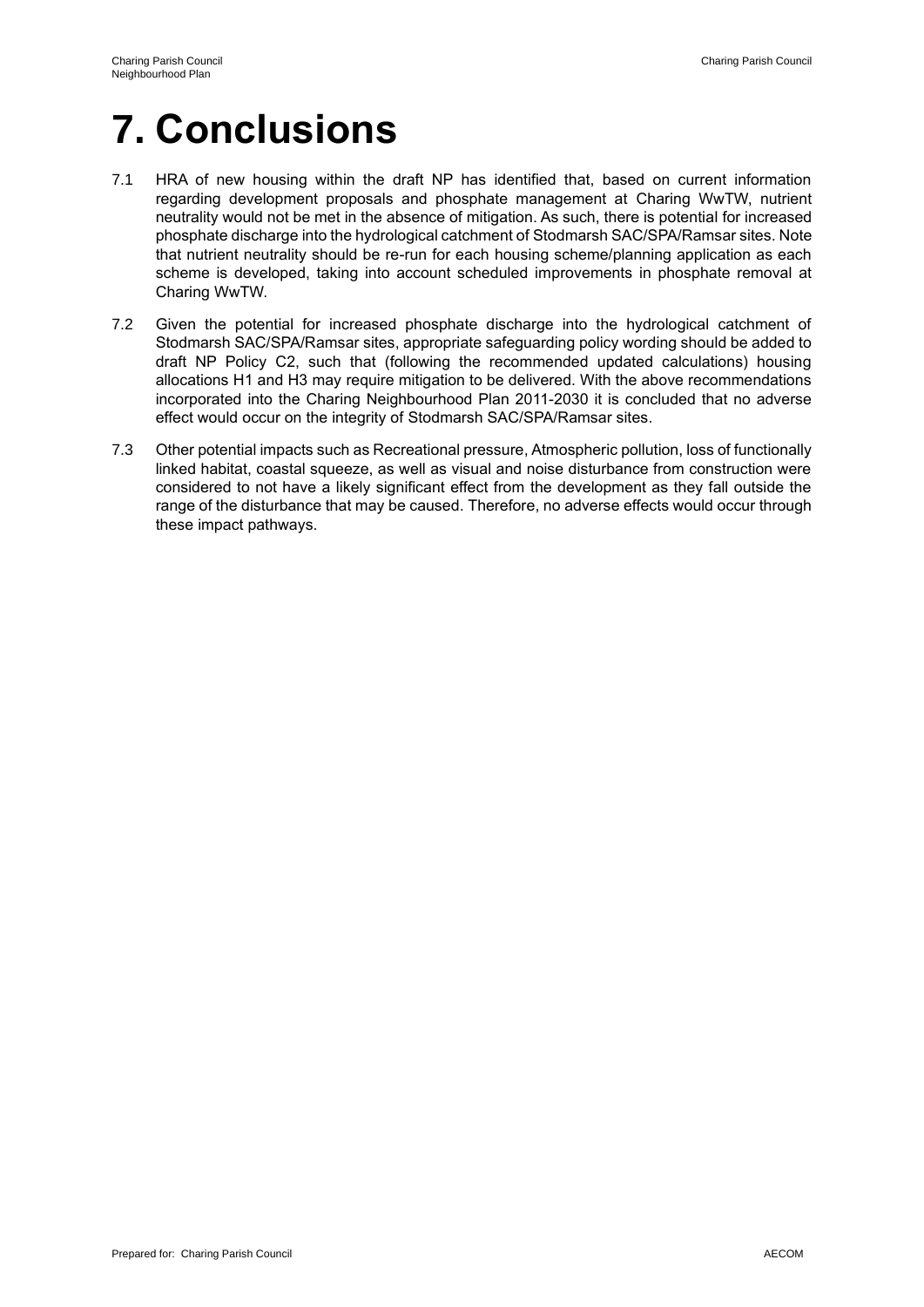# **7. Conclusions**

- 7.1 HRA of new housing within the draft NP has identified that, based on current information regarding development proposals and phosphate management at Charing WwTW, nutrient neutrality would not be met in the absence of mitigation. As such, there is potential for increased phosphate discharge into the hydrological catchment of Stodmarsh SAC/SPA/Ramsar sites. Note that nutrient neutrality should be re-run for each housing scheme/planning application as each scheme is developed, taking into account scheduled improvements in phosphate removal at Charing WwTW.
- 7.2 Given the potential for increased phosphate discharge into the hydrological catchment of Stodmarsh SAC/SPA/Ramsar sites, appropriate safeguarding policy wording should be added to draft NP Policy C2, such that (following the recommended updated calculations) housing allocations H1 and H3 may require mitigation to be delivered. With the above recommendations incorporated into the Charing Neighbourhood Plan 2011-2030 it is concluded that no adverse effect would occur on the integrity of Stodmarsh SAC/SPA/Ramsar sites.
- 7.3 Other potential impacts such as Recreational pressure, Atmospheric pollution, loss of functionally linked habitat, coastal squeeze, as well as visual and noise disturbance from construction were considered to not have a likely significant effect from the development as they fall outside the range of the disturbance that may be caused. Therefore, no adverse effects would occur through these impact pathways.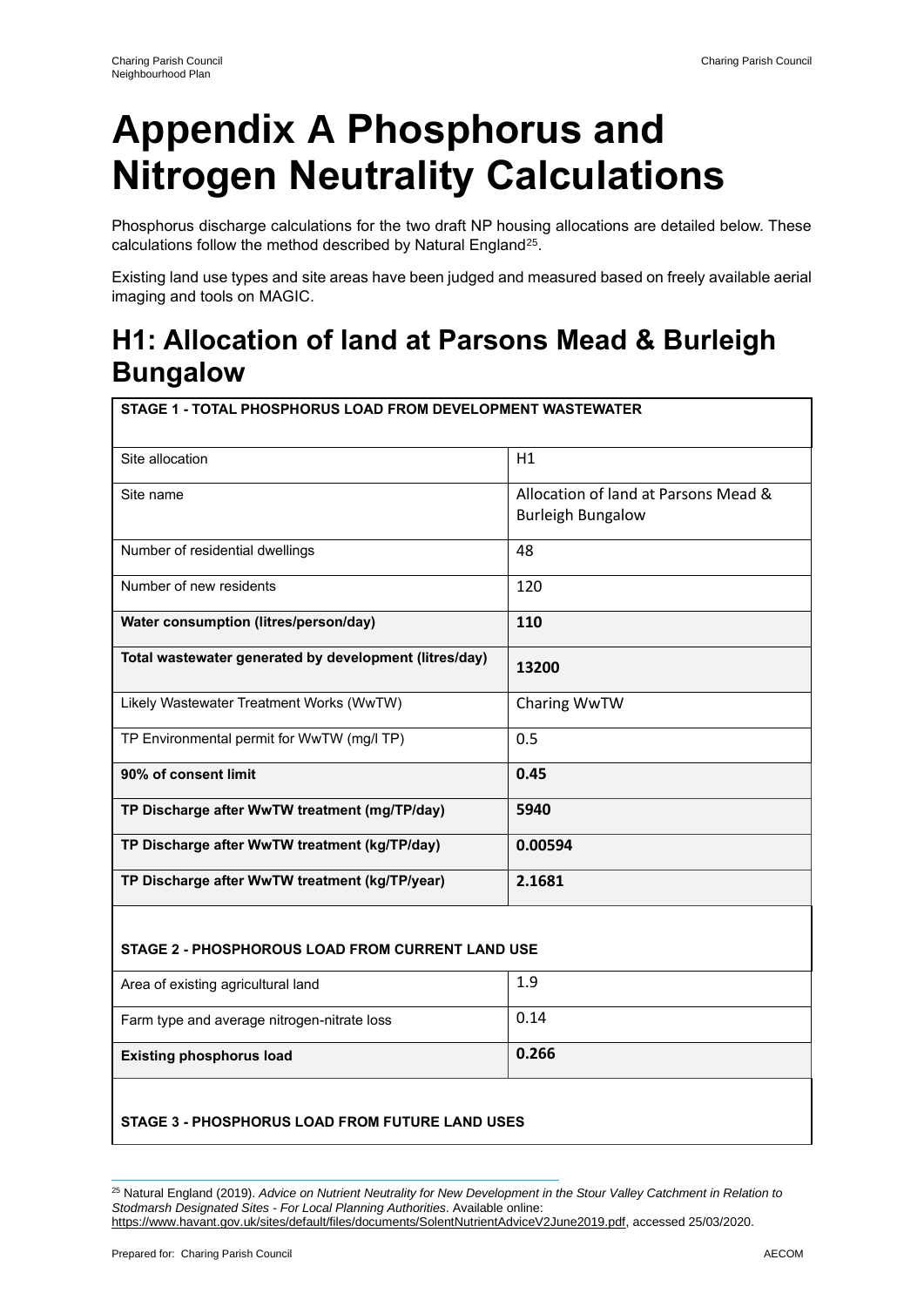# **Appendix A Phosphorus and Nitrogen Neutrality Calculations**

Phosphorus discharge calculations for the two draft NP housing allocations are detailed below. These calculations follow the method described by Natural England<sup>25</sup>.

Existing land use types and site areas have been judged and measured based on freely available aerial imaging and tools on MAGIC.

## **H1: Allocation of land at Parsons Mead & Burleigh Bungalow**

| STAGE 1 - TOTAL PHOSPHORUS LOAD FROM DEVELOPMENT WASTEWATER |                                                                  |  |
|-------------------------------------------------------------|------------------------------------------------------------------|--|
| Site allocation                                             | H1                                                               |  |
| Site name                                                   | Allocation of land at Parsons Mead &<br><b>Burleigh Bungalow</b> |  |
| Number of residential dwellings                             | 48                                                               |  |
| Number of new residents                                     | 120                                                              |  |
| Water consumption (litres/person/day)                       | 110                                                              |  |
| Total wastewater generated by development (litres/day)      | 13200                                                            |  |
| Likely Wastewater Treatment Works (WwTW)                    | Charing WwTW                                                     |  |
| TP Environmental permit for WwTW (mg/l TP)                  | 0.5                                                              |  |
| 90% of consent limit                                        | 0.45                                                             |  |
| TP Discharge after WwTW treatment (mg/TP/day)               | 5940                                                             |  |
| TP Discharge after WwTW treatment (kg/TP/day)               | 0.00594                                                          |  |
| TP Discharge after WwTW treatment (kg/TP/year)              | 2.1681                                                           |  |

#### **STAGE 2 - PHOSPHOROUS LOAD FROM CURRENT LAND USE**

| <b>Existing phosphorus load</b>             | 0.266 |
|---------------------------------------------|-------|
| Farm type and average nitrogen-nitrate loss | 0.14  |
| Area of existing agricultural land          | 1.9   |
|                                             |       |

#### **STAGE 3 - PHOSPHORUS LOAD FROM FUTURE LAND USES**

<sup>25</sup> Natural England (2019). *Advice on Nutrient Neutrality for New Development in the Stour Valley Catchment in Relation to Stodmarsh Designated Sites - For Local Planning Authorities*. Available online: https://www.havant.gov.uk/sites/default/files/documents/SolentNutrientAdviceV2June2019.pdf, accessed 25/03/2020.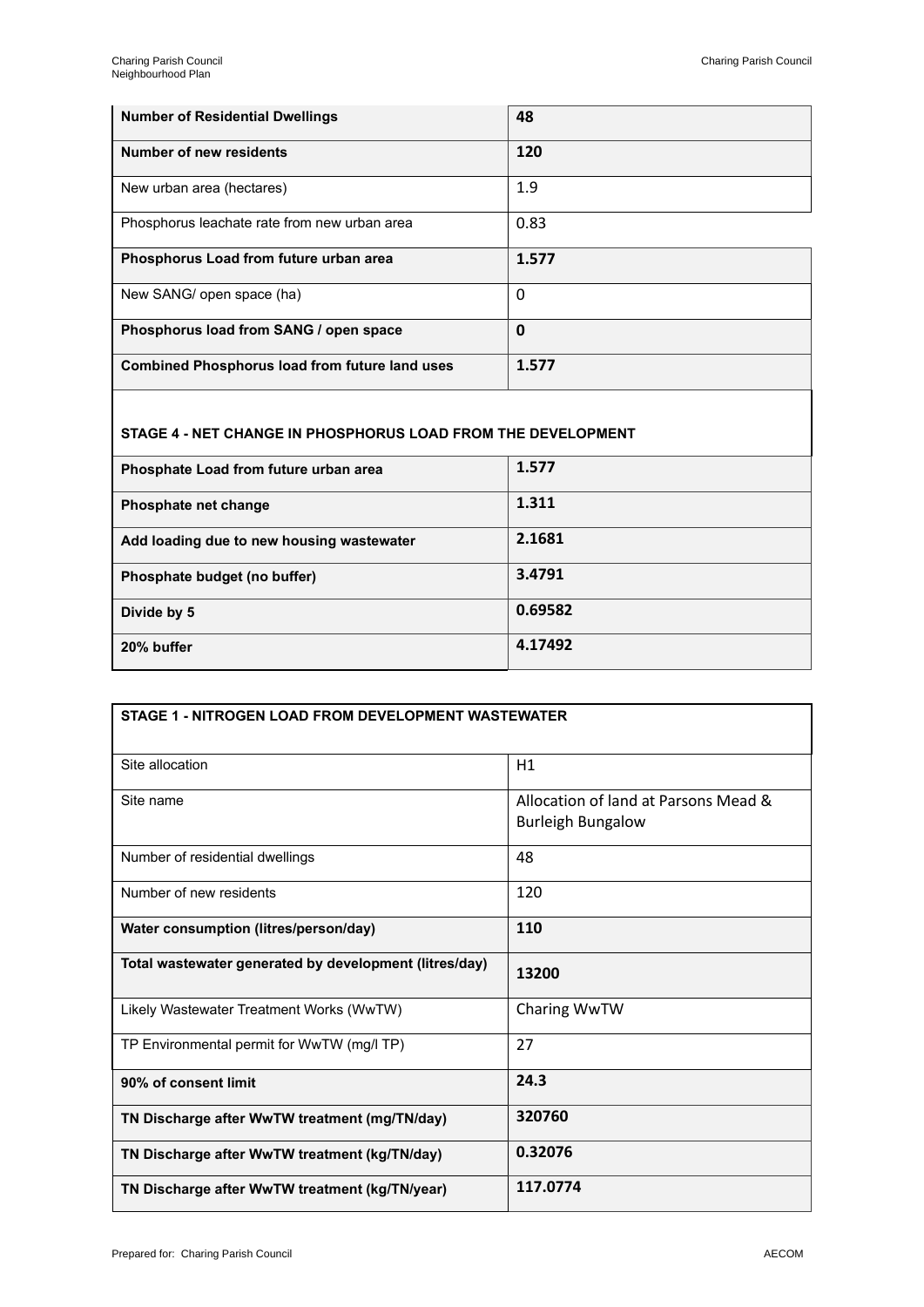| <b>Number of Residential Dwellings</b>                | 48    |
|-------------------------------------------------------|-------|
| Number of new residents                               | 120   |
| New urban area (hectares)                             | 1.9   |
| Phosphorus leachate rate from new urban area          | 0.83  |
| Phosphorus Load from future urban area                | 1.577 |
| New SANG/ open space (ha)                             | 0     |
| Phosphorus load from SANG / open space                | 0     |
| <b>Combined Phosphorus load from future land uses</b> | 1.577 |

#### **STAGE 4 - NET CHANGE IN PHOSPHORUS LOAD FROM THE DEVELOPMENT**

| Phosphate Load from future urban area     | 1.577   |
|-------------------------------------------|---------|
| Phosphate net change                      | 1.311   |
| Add loading due to new housing wastewater | 2.1681  |
| Phosphate budget (no buffer)              | 3.4791  |
| Divide by 5                               | 0.69582 |
| 20% buffer                                | 4.17492 |

| STAGE 1 - NITROGEN LOAD FROM DEVELOPMENT WASTEWATER    |                                                                  |
|--------------------------------------------------------|------------------------------------------------------------------|
| Site allocation                                        | H1                                                               |
| Site name                                              | Allocation of land at Parsons Mead &<br><b>Burleigh Bungalow</b> |
| Number of residential dwellings                        | 48                                                               |
| Number of new residents                                | 120                                                              |
| Water consumption (litres/person/day)                  | 110                                                              |
| Total wastewater generated by development (litres/day) | 13200                                                            |
| Likely Wastewater Treatment Works (WwTW)               | Charing WwTW                                                     |
| TP Environmental permit for WwTW (mg/l TP)             | 27                                                               |
| 90% of consent limit                                   | 24.3                                                             |
| TN Discharge after WwTW treatment (mg/TN/day)          | 320760                                                           |
| TN Discharge after WwTW treatment (kg/TN/day)          | 0.32076                                                          |
| TN Discharge after WwTW treatment (kg/TN/year)         | 117.0774                                                         |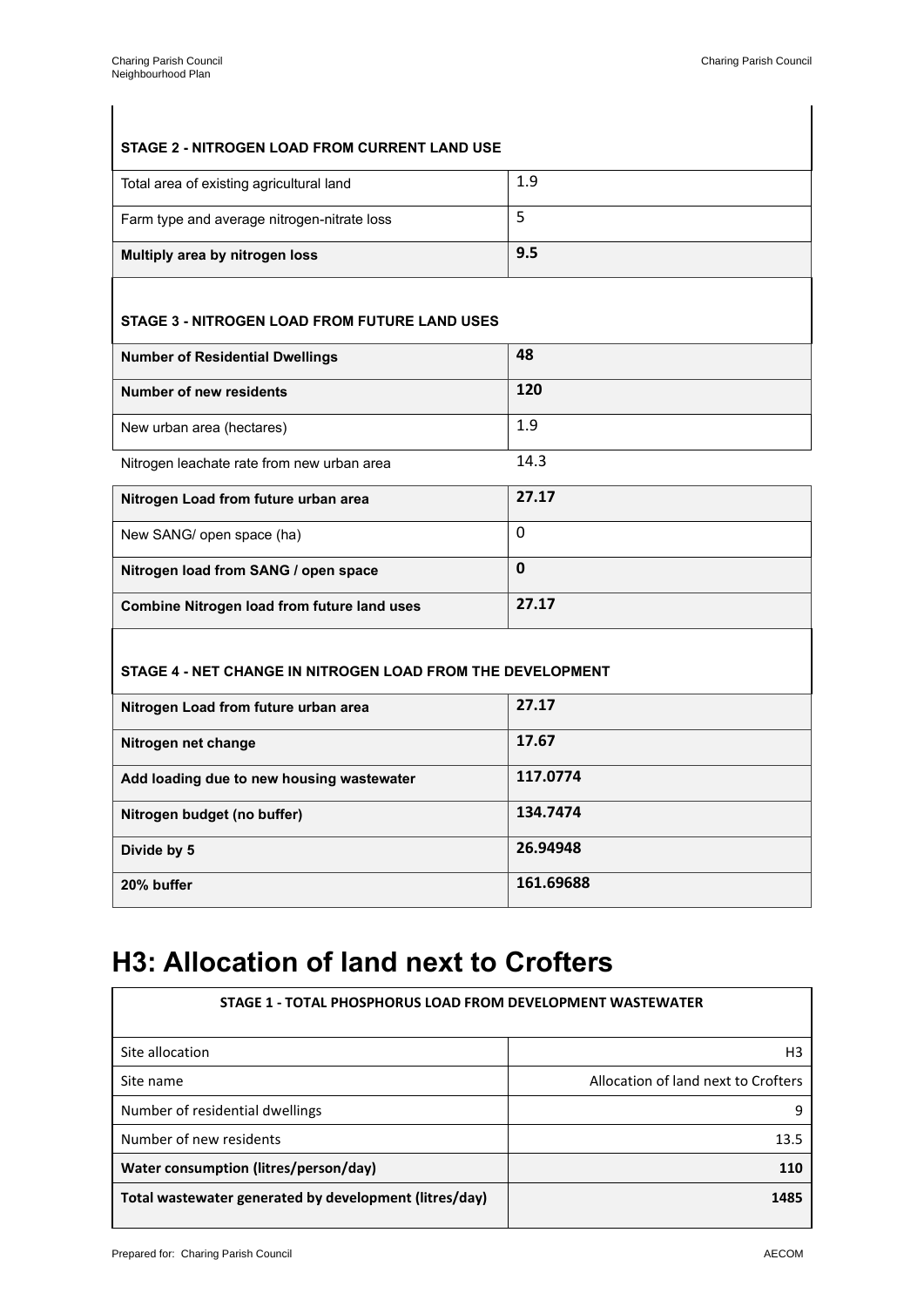#### **STAGE 2 - NITROGEN LOAD FROM CURRENT LAND USE**

| Total area of existing agricultural land    | 1.9 |
|---------------------------------------------|-----|
| Farm type and average nitrogen-nitrate loss |     |
| Multiply area by nitrogen loss              | 9.5 |

#### **STAGE 3 - NITROGEN LOAD FROM FUTURE LAND USES**

| <b>Number of Residential Dwellings</b>     | 48   |
|--------------------------------------------|------|
| Number of new residents                    | 120  |
| New urban area (hectares)                  | 1.9  |
| Nitrogen leachate rate from new urban area | 14.3 |

| Nitrogen Load from future urban area               | 27.17 |
|----------------------------------------------------|-------|
| New SANG/ open space (ha)                          | 0     |
| Nitrogen load from SANG / open space               | 0     |
| <b>Combine Nitrogen load from future land uses</b> | 27.17 |

#### **STAGE 4 - NET CHANGE IN NITROGEN LOAD FROM THE DEVELOPMENT**

| Nitrogen Load from future urban area      | 27.17     |
|-------------------------------------------|-----------|
| Nitrogen net change                       | 17.67     |
| Add loading due to new housing wastewater | 117.0774  |
| Nitrogen budget (no buffer)               | 134.7474  |
| Divide by 5                               | 26.94948  |
| 20% buffer                                | 161.69688 |

## **H3: Allocation of land next to Crofters**

| STAGE 1 - TOTAL PHOSPHORUS LOAD FROM DEVELOPMENT WASTEWATER |                                     |
|-------------------------------------------------------------|-------------------------------------|
| Site allocation                                             | H <sub>3</sub>                      |
| Site name                                                   | Allocation of land next to Crofters |
| Number of residential dwellings                             | q                                   |
| Number of new residents                                     | 13.5                                |
| Water consumption (litres/person/day)                       | 110                                 |
| Total wastewater generated by development (litres/day)      | 1485                                |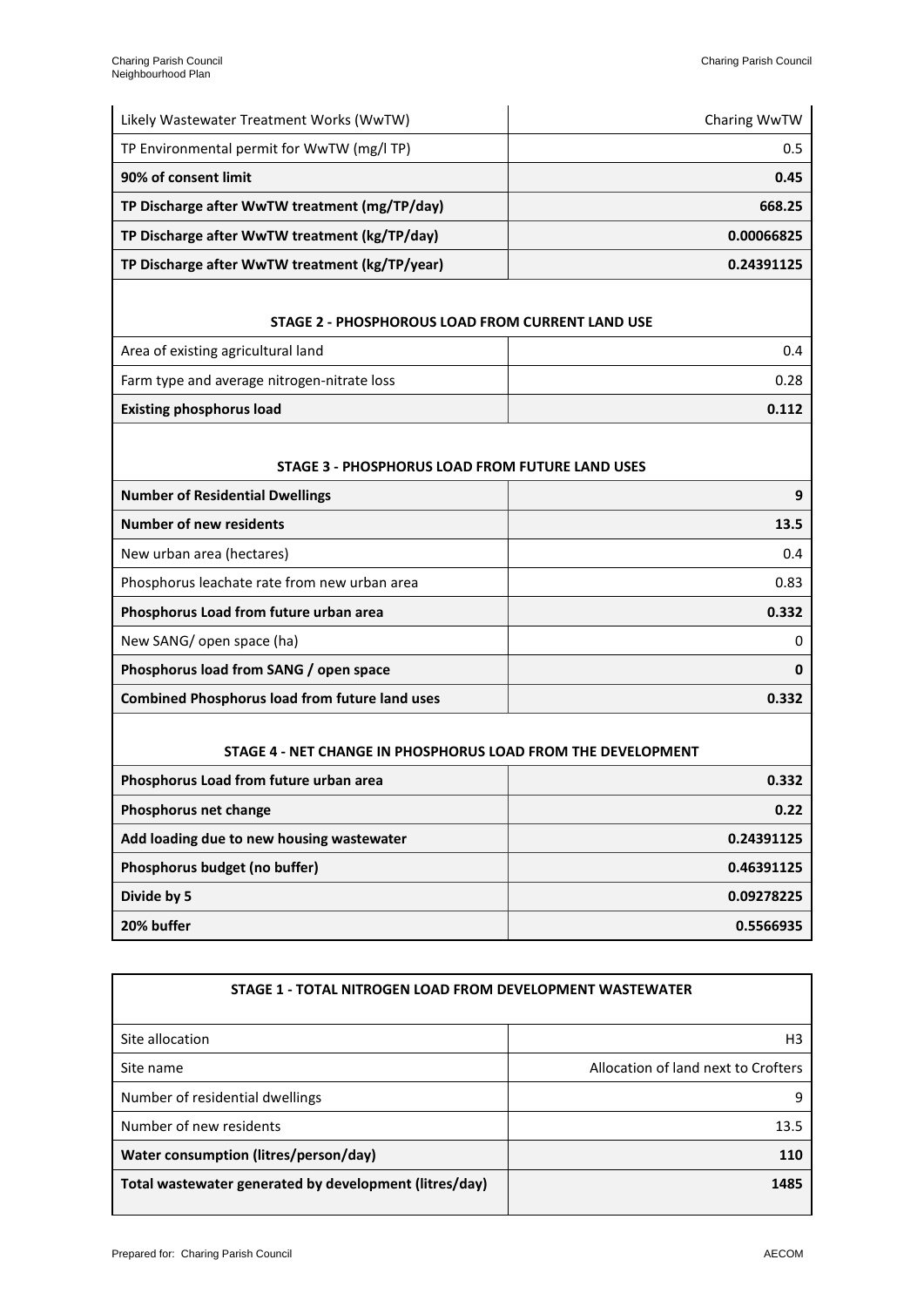| Likely Wastewater Treatment Works (WwTW)       | Charing WwTW |
|------------------------------------------------|--------------|
| TP Environmental permit for WwTW (mg/l TP)     | 0.5          |
| 90% of consent limit                           | 0.45         |
| TP Discharge after WwTW treatment (mg/TP/day)  | 668.25       |
| TP Discharge after WwTW treatment (kg/TP/day)  | 0.00066825   |
| TP Discharge after WwTW treatment (kg/TP/year) | 0.24391125   |

#### **STAGE 2 - PHOSPHOROUS LOAD FROM CURRENT LAND USE**

| Area of existing agricultural land          | 0.4   |
|---------------------------------------------|-------|
| Farm type and average nitrogen-nitrate loss | 0.28  |
| <b>Existing phosphorus load</b>             | 0.112 |

#### **STAGE 3 - PHOSPHORUS LOAD FROM FUTURE LAND USES**

| <b>Number of Residential Dwellings</b>                | 9     |
|-------------------------------------------------------|-------|
| Number of new residents                               | 13.5  |
| New urban area (hectares)                             | 0.4   |
| Phosphorus leachate rate from new urban area          | 0.83  |
| Phosphorus Load from future urban area                | 0.332 |
| New SANG/ open space (ha)                             | 0     |
| Phosphorus load from SANG / open space                | 0     |
| <b>Combined Phosphorus load from future land uses</b> | 0.332 |
|                                                       |       |

#### **STAGE 4 - NET CHANGE IN PHOSPHORUS LOAD FROM THE DEVELOPMENT**

| Phosphorus Load from future urban area    | 0.332      |
|-------------------------------------------|------------|
| Phosphorus net change                     | 0.22       |
| Add loading due to new housing wastewater | 0.24391125 |
| Phosphorus budget (no buffer)             | 0.46391125 |
| Divide by 5                               | 0.09278225 |
| 20% buffer                                | 0.5566935  |

| STAGE 1 - TOTAL NITROGEN LOAD FROM DEVELOPMENT WASTEWATER |                                     |
|-----------------------------------------------------------|-------------------------------------|
| Site allocation                                           | H <sub>3</sub>                      |
| Site name                                                 | Allocation of land next to Crofters |
| Number of residential dwellings                           | q                                   |
| Number of new residents                                   | 13.5                                |
| Water consumption (litres/person/day)                     | 110                                 |
| Total wastewater generated by development (litres/day)    | 1485                                |